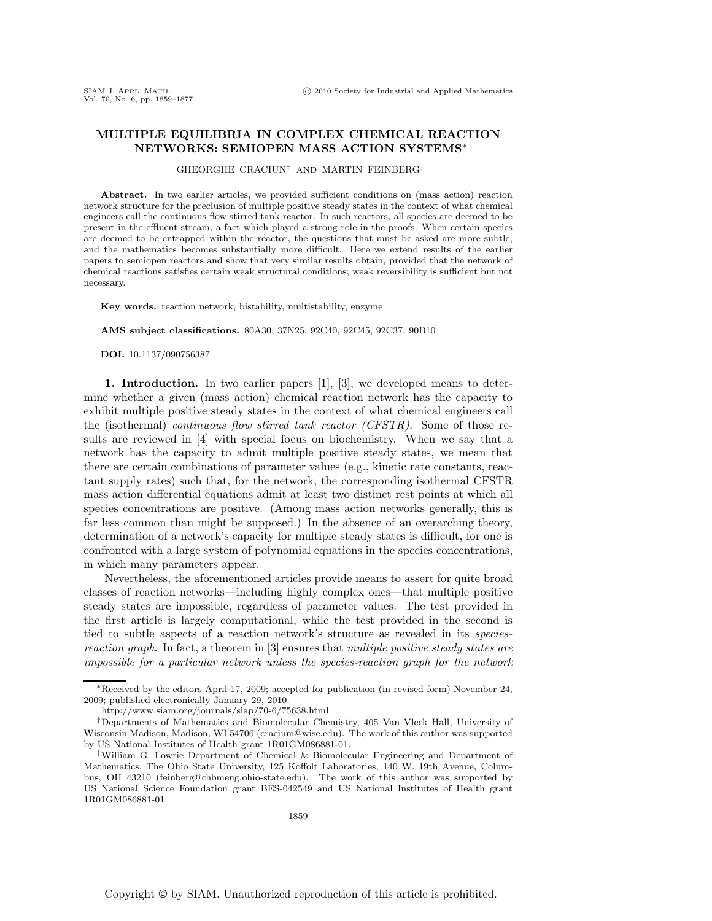## **MULTIPLE EQUILIBRIA IN COMPLEX CHEMICAL REACTION NETWORKS: SEMIOPEN MASS ACTION SYSTEMS**<sup>∗</sup>

GHEORGHE CRACIUN† AND MARTIN FEINBERG‡

**Abstract.** In two earlier articles, we provided sufficient conditions on (mass action) reaction network structure for the preclusion of multiple positive steady states in the context of what chemical engineers call the continuous flow stirred tank reactor. In such reactors, all species are deemed to be present in the effluent stream, a fact which played a strong role in the proofs. When certain species are deemed to be entrapped within the reactor, the questions that must be asked are more subtle, and the mathematics becomes substantially more difficult. Here we extend results of the earlier papers to semiopen reactors and show that very similar results obtain, provided that the network of chemical reactions satisfies certain weak structural conditions; weak reversibility is sufficient but not necessary.

**Key words.** reaction network, bistability, multistability, enzyme

**AMS subject classifications.** 80A30, 37N25, 92C40, 92C45, 92C37, 90B10

**DOI.** 10.1137/090756387

**1. Introduction.** In two earlier papers [1], [3], we developed means to determine whether a given (mass action) chemical reaction network has the capacity to exhibit multiple positive steady states in the context of what chemical engineers call the (isothermal) *continuous flow stirred tank reactor (CFSTR)*. Some of those results are reviewed in [4] with special focus on biochemistry. When we say that a network has the capacity to admit multiple positive steady states, we mean that there are certain combinations of parameter values (e.g., kinetic rate constants, reactant supply rates) such that, for the network, the corresponding isothermal CFSTR mass action differential equations admit at least two distinct rest points at which all species concentrations are positive. (Among mass action networks generally, this is far less common than might be supposed.) In the absence of an overarching theory, determination of a network's capacity for multiple steady states is difficult, for one is confronted with a large system of polynomial equations in the species concentrations, in which many parameters appear.

Nevertheless, the aforementioned articles provide means to assert for quite broad classes of reaction networks—including highly complex ones—that multiple positive steady states are impossible, regardless of parameter values. The test provided in the first article is largely computational, while the test provided in the second is tied to subtle aspects of a reaction network's structure as revealed in its *speciesreaction graph*. In fact, a theorem in [3] ensures that *multiple positive steady states are impossible for a particular network unless the species-reaction graph for the network*

<sup>∗</sup>Received by the editors April 17, 2009; accepted for publication (in revised form) November 24, 2009; published electronically January 29, 2010.

http://www.siam.org/journals/siap/70-6/75638.html

<sup>†</sup>Departments of Mathematics and Biomolecular Chemistry, 405 Van Vleck Hall, University of Wisconsin Madison, Madison, WI 54706 (cracium@wise.edu). The work of this author was supported by US National Institutes of Health grant 1R01GM086881-01.

<sup>‡</sup>William G. Lowrie Department of Chemical & Biomolecular Engineering and Department of Mathematics, The Ohio State University, 125 Koffolt Laboratories, 140 W. 19th Avenue, Columbus, OH 43210 (feinberg@chbmeng.ohio-state.edu). The work of this author was supported by US National Science Foundation grant BES-042549 and US National Institutes of Health grant 1R01GM086881-01.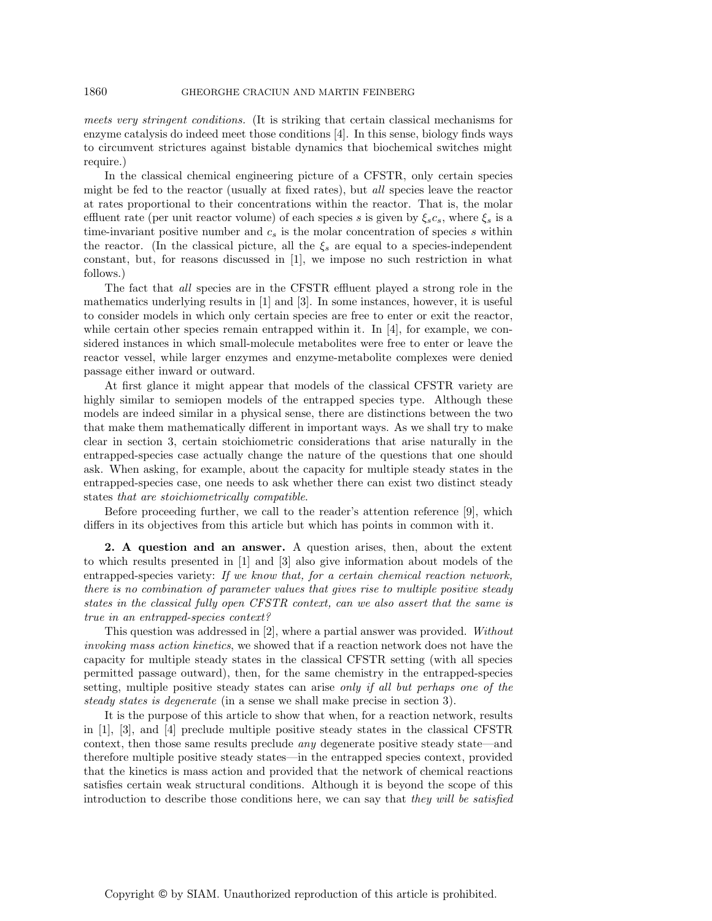*meets very stringent conditions.* (It is striking that certain classical mechanisms for enzyme catalysis do indeed meet those conditions [4]. In this sense, biology finds ways to circumvent strictures against bistable dynamics that biochemical switches might require.)

In the classical chemical engineering picture of a CFSTR, only certain species might be fed to the reactor (usually at fixed rates), but *all* species leave the reactor at rates proportional to their concentrations within the reactor. That is, the molar effluent rate (per unit reactor volume) of each species s is given by  $\xi_s c_s$ , where  $\xi_s$  is a time-invariant positive number and  $c_s$  is the molar concentration of species s within the reactor. (In the classical picture, all the  $\xi_s$  are equal to a species-independent constant, but, for reasons discussed in [1], we impose no such restriction in what follows.)

The fact that *all* species are in the CFSTR effluent played a strong role in the mathematics underlying results in [1] and [3]. In some instances, however, it is useful to consider models in which only certain species are free to enter or exit the reactor, while certain other species remain entrapped within it. In  $[4]$ , for example, we considered instances in which small-molecule metabolites were free to enter or leave the reactor vessel, while larger enzymes and enzyme-metabolite complexes were denied passage either inward or outward.

At first glance it might appear that models of the classical CFSTR variety are highly similar to semiopen models of the entrapped species type. Although these models are indeed similar in a physical sense, there are distinctions between the two that make them mathematically different in important ways. As we shall try to make clear in section 3, certain stoichiometric considerations that arise naturally in the entrapped-species case actually change the nature of the questions that one should ask. When asking, for example, about the capacity for multiple steady states in the entrapped-species case, one needs to ask whether there can exist two distinct steady states *that are stoichiometrically compatible*.

Before proceeding further, we call to the reader's attention reference [9], which differs in its objectives from this article but which has points in common with it.

**2. A question and an answer.** A question arises, then, about the extent to which results presented in [1] and [3] also give information about models of the entrapped-species variety: *If we know that, for a certain chemical reaction network, there is no combination of parameter values that gives rise to multiple positive steady states in the classical fully open CFSTR context, can we also assert that the same is true in an entrapped-species context?*

This question was addressed in [2], where a partial answer was provided. *Without invoking mass action kinetics*, we showed that if a reaction network does not have the capacity for multiple steady states in the classical CFSTR setting (with all species permitted passage outward), then, for the same chemistry in the entrapped-species setting, multiple positive steady states can arise *only if all but perhaps one of the steady states is degenerate* (in a sense we shall make precise in section 3).

It is the purpose of this article to show that when, for a reaction network, results in [1], [3], and [4] preclude multiple positive steady states in the classical CFSTR context, then those same results preclude *any* degenerate positive steady state—and therefore multiple positive steady states—in the entrapped species context, provided that the kinetics is mass action and provided that the network of chemical reactions satisfies certain weak structural conditions. Although it is beyond the scope of this introduction to describe those conditions here, we can say that *they will be satisfied*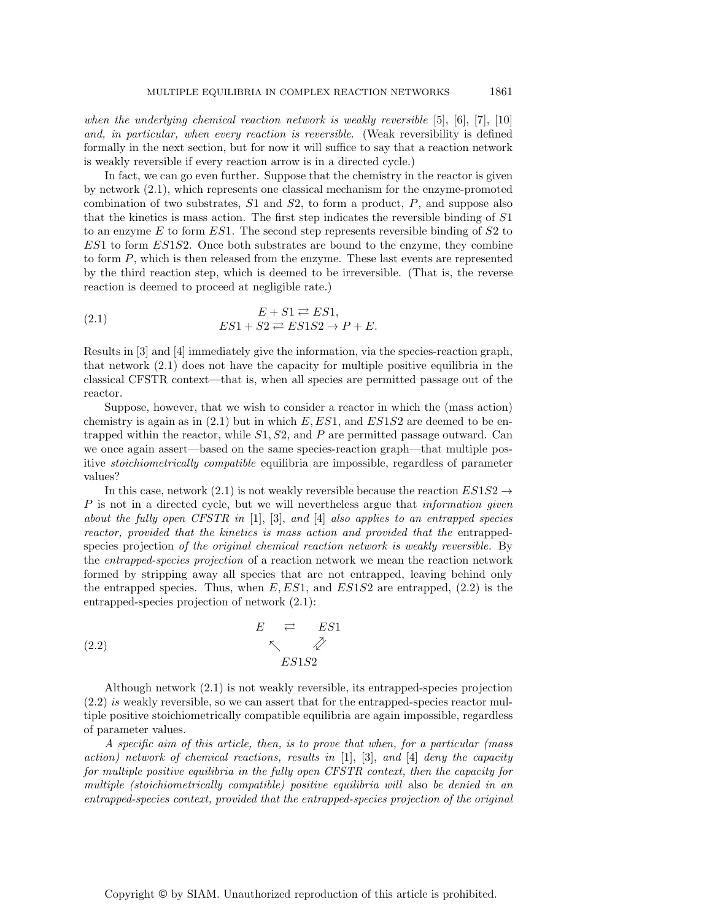*when the underlying chemical reaction network is weakly reversible* [5], [6], [7], [10] *and, in particular, when every reaction is reversible*. (Weak reversibility is defined formally in the next section, but for now it will suffice to say that a reaction network is weakly reversible if every reaction arrow is in a directed cycle.)

In fact, we can go even further. Suppose that the chemistry in the reactor is given by network (2.1), which represents one classical mechanism for the enzyme-promoted combination of two substrates,  $S1$  and  $S2$ , to form a product,  $P$ , and suppose also that the kinetics is mass action. The first step indicates the reversible binding of S1 to an enzyme  $E$  to form  $ES1$ . The second step represents reversible binding of  $S2$  to  $ES1$  to form  $ES1S2$ . Once both substrates are bound to the enzyme, they combine to form P, which is then released from the enzyme. These last events are represented by the third reaction step, which is deemed to be irreversible. (That is, the reverse reaction is deemed to proceed at negligible rate.)

(2.1) 
$$
E + S1 \rightleftarrows E S1,
$$

$$
ES1 + S2 \rightleftarrows ES1S2 \rightarrow P + E.
$$

Results in [3] and [4] immediately give the information, via the species-reaction graph, that network (2.1) does not have the capacity for multiple positive equilibria in the classical CFSTR context—that is, when all species are permitted passage out of the reactor.

Suppose, however, that we wish to consider a reactor in which the (mass action) chemistry is again as in  $(2.1)$  but in which  $E,ES1$ , and  $ES1S2$  are deemed to be entrapped within the reactor, while  $S1, S2$ , and P are permitted passage outward. Can we once again assert—based on the same species-reaction graph—that multiple positive *stoichiometrically compatible* equilibria are impossible, regardless of parameter values?

In this case, network (2.1) is not weakly reversible because the reaction  $ES1S2 \rightarrow$ P is not in a directed cycle, but we will nevertheless argue that *information given about the fully open CFSTR in* [1], [3], *and* [4] *also applies to an entrapped species reactor, provided that the kinetics is mass action and provided that the* entrappedspecies projection *of the original chemical reaction network is weakly reversible.* By the *entrapped-species projection* of a reaction network we mean the reaction network formed by stripping away all species that are not entrapped, leaving behind only the entrapped species. Thus, when  $E, ES1$ , and  $ES1S2$  are entrapped, (2.2) is the entrapped-species projection of network (2.1):

$$
E \underset{\kappa}{\rightleftharpoons} ES1
$$
\n
$$
E \underset{ES1S2}{\rightleftharpoons} ES1
$$

Although network (2.1) is not weakly reversible, its entrapped-species projection (2.2) *is* weakly reversible, so we can assert that for the entrapped-species reactor multiple positive stoichiometrically compatible equilibria are again impossible, regardless of parameter values.

*A specific aim of this article, then, is to prove that when, for a particular (mass action) network of chemical reactions, results in* [1], [3], *and* [4] *deny the capacity for multiple positive equilibria in the fully open CFSTR context, then the capacity for multiple (stoichiometrically compatible) positive equilibria will* also *be denied in an entrapped-species context, provided that the entrapped-species projection of the original*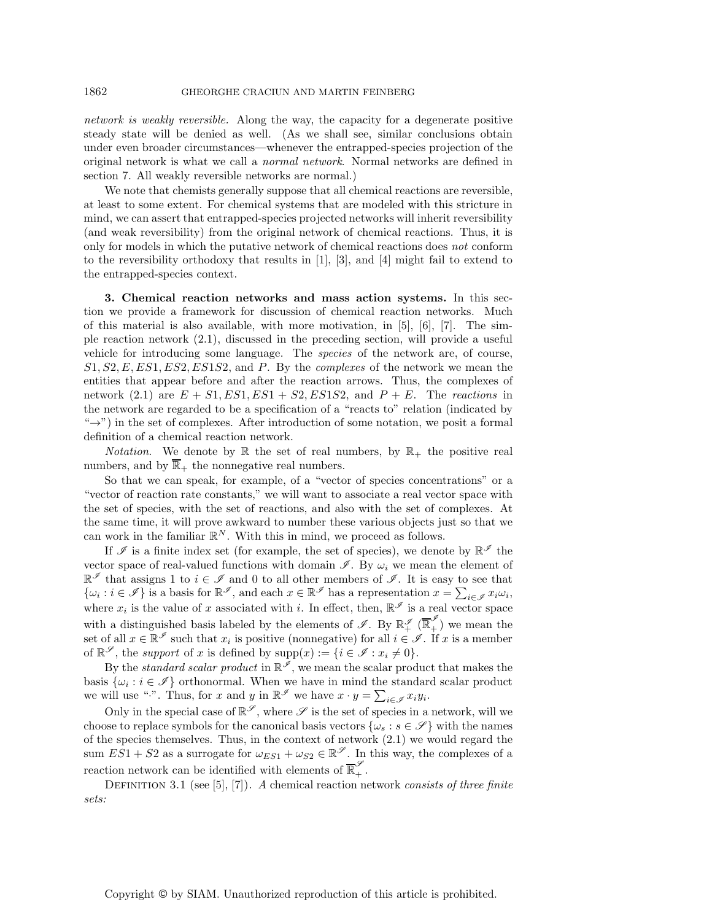*network is weakly reversible.* Along the way, the capacity for a degenerate positive steady state will be denied as well. (As we shall see, similar conclusions obtain under even broader circumstances—whenever the entrapped-species projection of the original network is what we call a *normal network*. Normal networks are defined in section 7. All weakly reversible networks are normal.)

We note that chemists generally suppose that all chemical reactions are reversible, at least to some extent. For chemical systems that are modeled with this stricture in mind, we can assert that entrapped-species projected networks will inherit reversibility (and weak reversibility) from the original network of chemical reactions. Thus, it is only for models in which the putative network of chemical reactions does *not* conform to the reversibility orthodoxy that results in [1], [3], and [4] might fail to extend to the entrapped-species context.

**3. Chemical reaction networks and mass action systems.** In this section we provide a framework for discussion of chemical reaction networks. Much of this material is also available, with more motivation, in  $[5]$ ,  $[6]$ ,  $[7]$ . The simple reaction network (2.1), discussed in the preceding section, will provide a useful vehicle for introducing some language. The *species* of the network are, of course, S1, S2,E,ES1,ES2,ES1S2, and P. By the *complexes* of the network we mean the entities that appear before and after the reaction arrows. Thus, the complexes of network (2.1) are  $E + S1, ES1, ES1 + S2, ES1S2,$  and  $P + E$ . The *reactions* in the network are regarded to be a specification of a "reacts to" relation (indicated by  $\rightarrow$ ") in the set of complexes. After introduction of some notation, we posit a formal definition of a chemical reaction network.

*Notation*. We denote by  $\mathbb R$  the set of real numbers, by  $\mathbb R_+$  the positive real numbers, and by  $\overline{\mathbb{R}}_+$  the nonnegative real numbers.

So that we can speak, for example, of a "vector of species concentrations" or a "vector of reaction rate constants," we will want to associate a real vector space with the set of species, with the set of reactions, and also with the set of complexes. At the same time, it will prove awkward to number these various objects just so that we can work in the familiar  $\mathbb{R}^N$ . With this in mind, we proceed as follows.

If  $\mathscr I$  is a finite index set (for example, the set of species), we denote by  $\mathbb{R}^{\mathscr I}$  the vector space of real-valued functions with domain  $\mathscr{I}$ . By  $\omega_i$  we mean the element of  $\mathbb{R}^{\mathscr{I}}$  that assigns 1 to  $i \in \mathscr{I}$  and 0 to all other members of  $\mathscr{I}$ . It is easy to see that  $\{\omega_i : i \in \mathscr{I}\}\$ is a basis for  $\mathbb{R}^{\mathscr{I}}$ , and each  $x \in \mathbb{R}^{\mathscr{I}}$  has a representation  $x = \sum_{i \in \mathscr{I}} x_i \omega_i$ , where  $x_i$  is the value of x associated with i. In effect, then,  $\mathbb{R}^{\mathscr{I}}$  is a real vector space with a distinguished basis labeled by the elements of  $\mathscr{I}$ . By  $\mathbb{R}_+^{\mathscr{I}}(\overline{\mathbb{R}}_+^{\mathscr{I}})$  we mean the set of all  $x \in \mathbb{R}^\mathscr{I}$  such that  $x_i$  is positive (nonnegative) for all  $i \in \mathscr{I}$ . If x is a member of  $\mathbb{R}^{\mathscr{S}}$ , the *support* of x is defined by  $\text{supp}(x) := \{i \in \mathscr{I} : x_i \neq 0\}.$ 

By the *standard scalar product* in  $\mathbb{R}^{\mathscr{I}}$ , we mean the scalar product that makes the basis  $\{\omega_i : i \in \mathcal{I}\}\)$  orthonormal. When we have in mind the standard scalar product we will use ".". Thus, for x and y in  $\mathbb{R}^{\mathscr{I}}$  we have  $x \cdot y = \sum_{i \in \mathscr{I}} x_i y_i$ .

Only in the special case of  $\mathbb{R}^{\mathscr{S}}$ , where  $\mathscr{S}$  is the set of species in a network, will we choose to replace symbols for the canonical basis vectors  $\{\omega_s : s \in \mathscr{S}\}\$  with the names of the species themselves. Thus, in the context of network (2.1) we would regard the sum  $ES1 + S2$  as a surrogate for  $\omega_{ES1} + \omega_{S2} \in \mathbb{R}^{\mathscr{S}}$ . In this way, the complexes of a reaction network can be identified with elements of  $\overline{\mathbb{R}}_+^{\mathscr{S}}$ .

DEFINITION 3.1 (see [5], [7]). *A* chemical reaction network *consists of three finite sets:*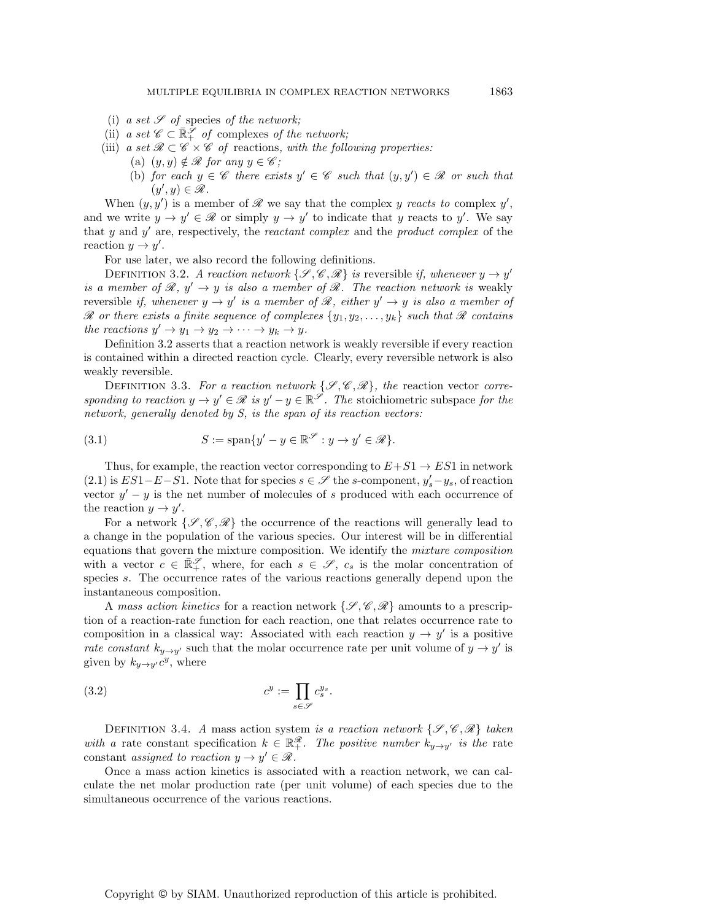- (i)  $a \text{ set } S$  of species of the network;
- (ii) *a set*  $\mathscr{C} \subset \mathbb{R}_+^{\mathscr{S}}$  *of* complexes *of the network*;
- (iii) *a set*  $\mathcal{R} \subset \mathcal{C} \times \mathcal{C}$  *of* reactions, with the following properties:
	- (a)  $(y, y) \notin \mathcal{R}$  *for any*  $y \in \mathcal{C}$ ;
	- (b) *for each*  $y \in \mathscr{C}$  *there exists*  $y' \in \mathscr{C}$  *such that*  $(y, y') \in \mathscr{R}$  *or such that*  $(y', y) \in \mathscr{R}$ .

When  $(y, y')$  is a member of  $\mathscr R$  we say that the complex y *reacts to* complex y', and we write  $y \to y' \in \mathcal{R}$  or simply  $y \to y'$  to indicate that y reacts to y'. We say that y and  $y'$  are, respectively, the *reactant complex* and the *product complex* of the reaction  $y \to y'$ .

For use later, we also record the following definitions.

DEFINITION 3.2. *A reaction network*  $\{\mathcal{S}, \mathcal{C}, \mathcal{R}\}\)$  *is* reversible *if, whenever*  $y \to y'$ *is a member of*  $\mathcal{R}, y' \rightarrow y$  *is also a member of*  $\mathcal{R}$ *. The reaction network is weakly* reversible *if, whenever*  $y \to y'$  *is a member of*  $\mathcal{R}$ *, either*  $y' \to y$  *is also a member of*  $\mathscr R$  *or there exists a finite sequence of complexes*  $\{y_1, y_2, \ldots, y_k\}$  *such that*  $\mathscr R$  *contains the reactions*  $y' \rightarrow y_1 \rightarrow y_2 \rightarrow \cdots \rightarrow y_k \rightarrow y$ *.* 

Definition 3.2 asserts that a reaction network is weakly reversible if every reaction is contained within a directed reaction cycle. Clearly, every reversible network is also weakly reversible.

DEFINITION 3.3. For a reaction network  $\{\mathcal{S}, \mathcal{C}, \mathcal{R}\}$ , the reaction vector *corresponding to reaction*  $y \to y' \in \mathcal{R}$  *is*  $y' - y \in \mathbb{R}^{\mathcal{S}}$ *. The stoichiometric subspace for the network, generally denoted by S, is the span of its reaction vectors:*

(3.1) 
$$
S := \text{span}\{y' - y \in \mathbb{R}^{\mathscr{S}} : y \to y' \in \mathscr{R}\}.
$$

Thus, for example, the reaction vector corresponding to  $E+S1 \rightarrow ES1$  in network  $(2.1)$  is  $ES1-E-S1$ . Note that for species  $s \in \mathscr{S}$  the s-component,  $y_s'-y_s$ , of reaction vector  $y' - y$  is the net number of molecules of s produced with each occurrence of the reaction  $y \to y'$ .

For a network  $\{\mathcal{S}, \mathscr{C}, \mathscr{R}\}\$  the occurrence of the reactions will generally lead to a change in the population of the various species. Our interest will be in differential equations that govern the mixture composition. We identify the *mixture composition* with a vector  $c \in \mathbb{R}^{\mathscr{S}}_+$ , where, for each  $s \in \mathscr{S}$ ,  $c_s$  is the molar concentration of species s. The occurrence rates of the various reactions generally depend upon the instantaneous composition.

A *mass action kinetics* for a reaction network {*S* , *C*, *R*} amounts to a prescription of a reaction-rate function for each reaction, one that relates occurrence rate to composition in a classical way: Associated with each reaction  $y \to y'$  is a positive *rate constant*  $k_{y\rightarrow y'}$  such that the molar occurrence rate per unit volume of  $y \rightarrow y'$  is given by  $k_{y\rightarrow y'}c^y$ , where

(3.2) 
$$
c^y := \prod_{s \in \mathscr{S}} c_s^{y_s}.
$$

DEFINITION 3.4. *A* mass action system *is a reaction network*  $\{\mathscr{S}, \mathscr{C}, \mathscr{R}\}\)$  taken *with a* rate constant specification  $k \in \mathbb{R}^{\mathscr{R}}_+$ . The positive number  $k_{y\to y'}$  is the rate constant *assigned to reaction*  $y \rightarrow y' \in \mathcal{R}$ .

Once a mass action kinetics is associated with a reaction network, we can calculate the net molar production rate (per unit volume) of each species due to the simultaneous occurrence of the various reactions.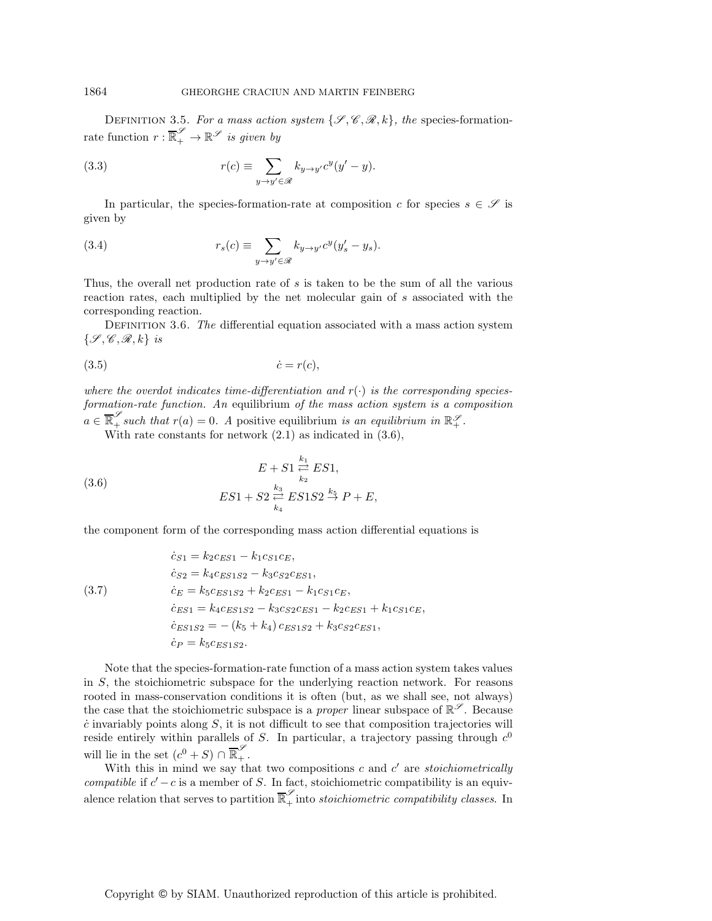DEFINITION 3.5. For a mass action system  $\{\mathscr{S}, \mathscr{C}, \mathscr{R}, k\}$ , the species-formationrate function  $r : \overline{\mathbb{R}}_+^{\mathscr{S}} \to \mathbb{R}^{\mathscr{S}}$  *is given by* 

(3.3) 
$$
r(c) \equiv \sum_{y \to y' \in \mathscr{R}} k_{y \to y'} c^y (y' - y).
$$

In particular, the species-formation-rate at composition c for species  $s \in \mathscr{S}$  is given by

(3.4) 
$$
r_s(c) \equiv \sum_{y \to y' \in \mathscr{R}} k_{y \to y'} c^y (y'_s - y_s).
$$

Thus, the overall net production rate of s is taken to be the sum of all the various reaction rates, each multiplied by the net molecular gain of s associated with the corresponding reaction.

Definition 3.6. *The* differential equation associated with a mass action system {*S* , *C*, *R*, k} *is*

$$
(3.5) \t\t \dot{c} = r(c),
$$

where the overdot indicates time-differentiation and  $r(\cdot)$  is the corresponding species*formation-rate function. An* equilibrium *of the mass action system is a composition*  $a \in \overline{\mathbb{R}}_+^{\mathscr{S}}$  such that  $r(a) = 0$ . A positive equilibrium *is an equilibrium in*  $\mathbb{R}_+^{\mathscr{S}}$ .

With rate constants for network  $(2.1)$  as indicated in  $(3.6)$ ,

(3.6) 
$$
E + S1 \stackrel{k_1}{\underset{k_2}{\rightleftharpoons}} ES1, \\
ES1 + S2 \stackrel{k_3}{\underset{k_4}{\rightleftharpoons}} ES1S2 \stackrel{k_5}{\xrightarrow{}} P + E,
$$

the component form of the corresponding mass action differential equations is

(3.7)  
\n
$$
\begin{aligned}\n\dot{c}_{S1} &= k_2 c_{ES1} - k_1 c_{S1} c_E, \\
\dot{c}_{S2} &= k_4 c_{ES1S2} - k_3 c_{S2} c_{ES1}, \\
\dot{c}_E &= k_5 c_{ES1S2} + k_2 c_{ES1} - k_1 c_{S1} c_E, \\
\dot{c}_{ES1} &= k_4 c_{ES1S2} - k_3 c_{S2} c_{ES1} - k_2 c_{ES1} + k_1 c_{S1} c_E, \\
\dot{c}_{ES1S2} &= -(k_5 + k_4) c_{ES1S2} + k_3 c_{S2} c_{ES1}, \\
\dot{c}_P &= k_5 c_{ES1S2}.\n\end{aligned}
$$

Note that the species-formation-rate function of a mass action system takes values in S, the stoichiometric subspace for the underlying reaction network. For reasons rooted in mass-conservation conditions it is often (but, as we shall see, not always) the case that the stoichiometric subspace is a *proper* linear subspace of  $\mathbb{R}^{\mathscr{S}}$ . Because  $\dot{c}$  invariably points along  $S$ , it is not difficult to see that composition trajectories will reside entirely within parallels of S. In particular, a trajectory passing through  $c^0$ will lie in the set  $(c^0 + S) \cap \overline{\mathbb{R}}_+^{\mathscr{S}}$ .

With this in mind we say that two compositions  $c$  and  $c'$  are *stoichiometrically compatible* if  $c' - c$  is a member of S. In fact, stoichiometric compatibility is an equivalence relation that serves to partition  $\overline{\mathbb{R}}_+^{\mathscr{S}}$  into *stoichiometric compatibility classes*. In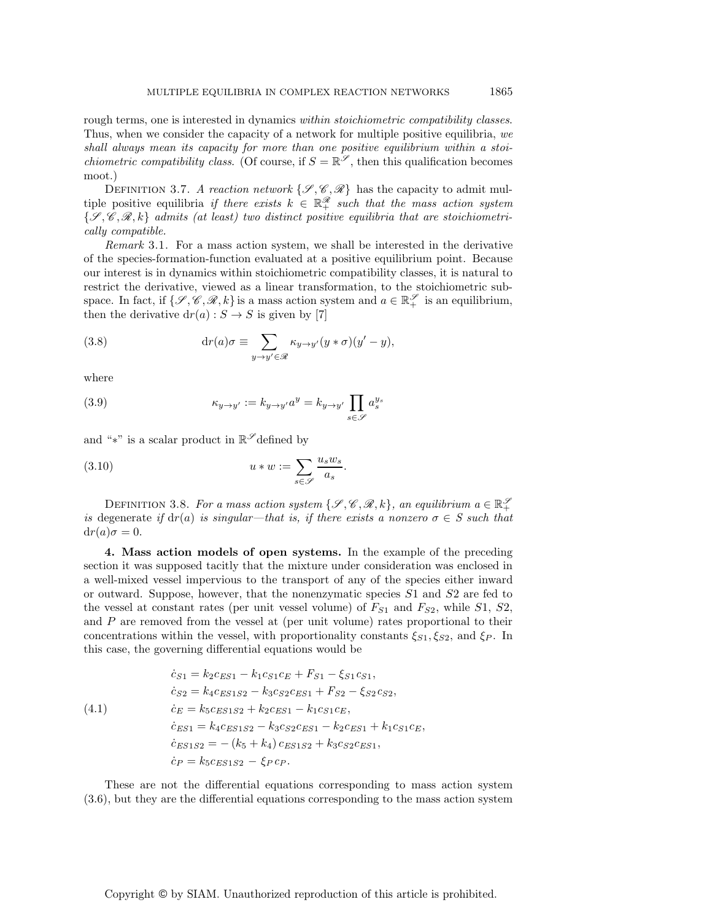rough terms, one is interested in dynamics *within stoichiometric compatibility classes*. Thus, when we consider the capacity of a network for multiple positive equilibria, *we shall always mean its capacity for more than one positive equilibrium within a stoichiometric compatibility class.* (Of course, if  $S = \mathbb{R}^{\mathscr{S}}$ , then this qualification becomes moot.)

DEFINITION 3.7. *A reaction network*  $\{\mathscr{S}, \mathscr{C}, \mathscr{R}\}\)$  has the capacity to admit multiple positive equilibria *if there exists*  $k \in \mathbb{R}_+^{\mathscr{R}}$  such that the mass action system {*S* , *C*, *R*, k} *admits (at least) two distinct positive equilibria that are stoichiometrically compatible.*

*Remark* 3.1. For a mass action system, we shall be interested in the derivative of the species-formation-function evaluated at a positive equilibrium point. Because our interest is in dynamics within stoichiometric compatibility classes, it is natural to restrict the derivative, viewed as a linear transformation, to the stoichiometric subspace. In fact, if  $\{\mathscr{S}, \mathscr{C}, \mathscr{R}, k\}$  is a mass action system and  $a \in \mathbb{R}_+^{\mathscr{S}}$  is an equilibrium, then the derivative  $dr(a): S \to S$  is given by [7]

(3.8) 
$$
\mathrm{d}r(a)\sigma \equiv \sum_{y \to y' \in \mathscr{R}} \kappa_{y \to y'}(y * \sigma)(y' - y),
$$

where

(3.9) 
$$
\kappa_{y \to y'} := k_{y \to y'} a^y = k_{y \to y'} \prod_{s \in \mathscr{S}} a_s^{y_s}
$$

and "\*" is a scalar product in  $\mathbb{R}^\mathscr{S}$  defined by

(3.10) 
$$
u * w := \sum_{s \in \mathscr{S}} \frac{u_s w_s}{a_s}.
$$

DEFINITION 3.8. For a mass action system  $\{\mathscr{S}, \mathscr{C}, \mathscr{R}, k\}$ , an equilibrium  $a \in \mathbb{R}_+^{\mathscr{S}}$ *is* degenerate *if*  $dr(a)$  *is singular—that is, if there exists a nonzero*  $\sigma \in S$  *such that*  $dr(a)\sigma = 0.$ 

**4. Mass action models of open systems.** In the example of the preceding section it was supposed tacitly that the mixture under consideration was enclosed in a well-mixed vessel impervious to the transport of any of the species either inward or outward. Suppose, however, that the nonenzymatic species S1 and S2 are fed to the vessel at constant rates (per unit vessel volume) of  $F_{S1}$  and  $F_{S2}$ , while  $S1$ ,  $S2$ , and  $P$  are removed from the vessel at (per unit volume) rates proportional to their concentrations within the vessel, with proportionality constants  $\xi_{S1}, \xi_{S2}$ , and  $\xi_P$ . In this case, the governing differential equations would be

(4.1)  
\n
$$
\begin{aligned}\n\dot{c}_{S1} &= k_2 c_{ES1} - k_1 c_{S1} c_E + F_{S1} - \xi_{S1} c_{S1}, \\
\dot{c}_{S2} &= k_4 c_{ES1S2} - k_3 c_{S2} c_{ES1} + F_{S2} - \xi_{S2} c_{S2}, \\
\dot{c}_E &= k_5 c_{ES1S2} + k_2 c_{ES1} - k_1 c_{S1} c_E, \\
\dot{c}_{ES1} &= k_4 c_{ES1S2} - k_3 c_{S2} c_{ES1} - k_2 c_{ES1} + k_1 c_{S1} c_E, \\
\dot{c}_{ES1S2} &= - (k_5 + k_4) c_{ES1S2} + k_3 c_{S2} c_{ES1}, \\
\dot{c}_P &= k_5 c_{ES1S2} - \xi_P c_P.\n\end{aligned}
$$

These are not the differential equations corresponding to mass action system (3.6), but they are the differential equations corresponding to the mass action system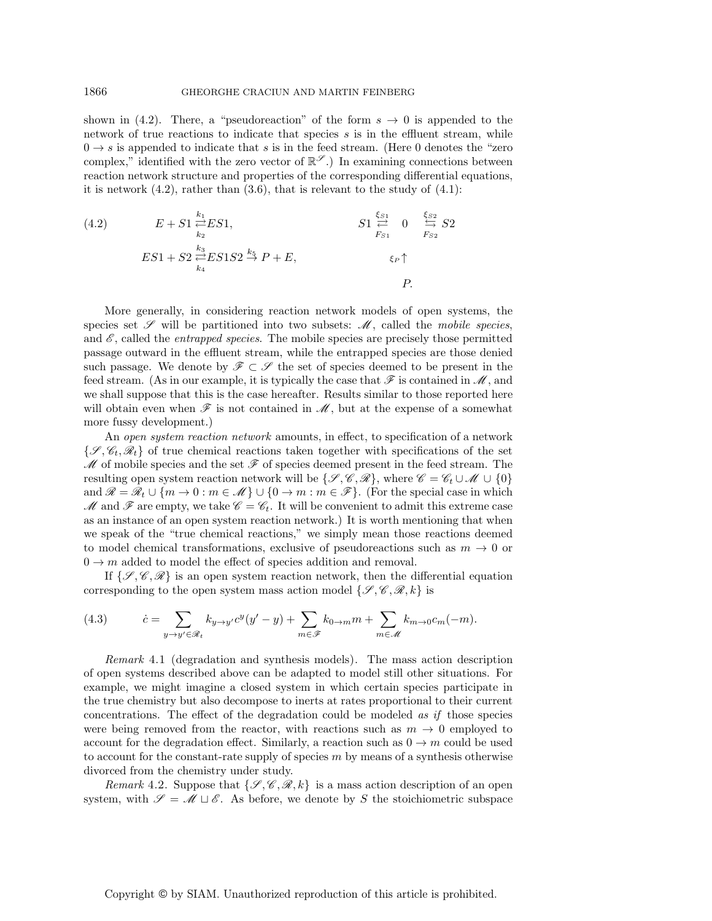shown in (4.2). There, a "pseudoreaction" of the form  $s \to 0$  is appended to the network of true reactions to indicate that species  $s$  is in the effluent stream, while  $0 \rightarrow s$  is appended to indicate that s is in the feed stream. (Here 0 denotes the "zero complex," identified with the zero vector of  $\mathbb{R}^{\mathscr{S}}$ .) In examining connections between reaction network structure and properties of the corresponding differential equations, it is network  $(4.2)$ , rather than  $(3.6)$ , that is relevant to the study of  $(4.1)$ :

(4.2) 
$$
E + S1 \underset{k_2}{\overset{k_1}{\rightleftharpoons}} ES1, \qquad S1 \underset{F_{S1}}{\overset{\xi_{S1}}{\rightleftharpoons}} 0 \underset{F_{S2}}{\overset{\xi_{S2}}{\rightleftharpoons}} S2
$$
  
\n
$$
ES1 + S2 \underset{k_4}{\overset{k_3}{\rightleftharpoons}} ES1S2 \overset{k_5}{\rightleftharpoons} P + E, \qquad \xi_P \uparrow
$$
  
\n $P.$ 

More generally, in considering reaction network models of open systems, the species set  $\mathscr S$  will be partitioned into two subsets:  $\mathscr M$ , called the *mobile species*, and  $\mathscr E$ , called the *entrapped species*. The mobile species are precisely those permitted passage outward in the effluent stream, while the entrapped species are those denied such passage. We denote by  $\mathscr{F} \subset \mathscr{S}$  the set of species deemed to be present in the feed stream. (As in our example, it is typically the case that *F* is contained in *M*, and we shall suppose that this is the case hereafter. Results similar to those reported here will obtain even when  $\mathscr F$  is not contained in  $\mathscr M$ , but at the expense of a somewhat more fussy development.)

An *open system reaction network* amounts, in effect, to specification of a network  $\{\mathscr{S}, \mathscr{C}_t, \mathscr{R}_t\}$  of true chemical reactions taken together with specifications of the set  $M$  of mobile species and the set  $\mathscr F$  of species deemed present in the feed stream. The resulting open system reaction network will be  $\{\mathcal{S}, \mathcal{C}, \mathcal{R}\}\)$ , where  $\mathcal{C} = \mathcal{C}_t \cup \mathcal{M} \cup \{0\}$ and  $\mathcal{R} = \mathcal{R}_t \cup \{m \to 0 : m \in \mathcal{M}\} \cup \{0 \to m : m \in \mathcal{F}\}.$  (For the special case in which  $M$  and  $\mathscr F$  are empty, we take  $\mathscr C = \mathscr C_t$ . It will be convenient to admit this extreme case as an instance of an open system reaction network.) It is worth mentioning that when we speak of the "true chemical reactions," we simply mean those reactions deemed to model chemical transformations, exclusive of pseudoreactions such as  $m \to 0$  or  $0 \rightarrow m$  added to model the effect of species addition and removal.

If  $\{\mathscr{S}, \mathscr{C}, \mathscr{R}\}\$ is an open system reaction network, then the differential equation corresponding to the open system mass action model  $\{\mathscr{S}, \mathscr{C}, \mathscr{R}, k\}$  is

(4.3) 
$$
\dot{c} = \sum_{y \to y' \in \mathscr{R}_t} k_{y \to y'} c^y (y' - y) + \sum_{m \in \mathscr{F}} k_{0 \to m} m + \sum_{m \in \mathscr{M}} k_{m \to 0} c_m (-m).
$$

*Remark* 4.1 (degradation and synthesis models). The mass action description of open systems described above can be adapted to model still other situations. For example, we might imagine a closed system in which certain species participate in the true chemistry but also decompose to inerts at rates proportional to their current concentrations. The effect of the degradation could be modeled *as if* those species were being removed from the reactor, with reactions such as  $m \to 0$  employed to account for the degradation effect. Similarly, a reaction such as  $0 \rightarrow m$  could be used to account for the constant-rate supply of species  $m$  by means of a synthesis otherwise divorced from the chemistry under study.

*Remark* 4.2. Suppose that  $\{\mathscr{S}, \mathscr{C}, \mathscr{R}, k\}$  is a mass action description of an open system, with  $\mathscr{S} = \mathscr{M} \sqcup \mathscr{E}$ . As before, we denote by S the stoichiometric subspace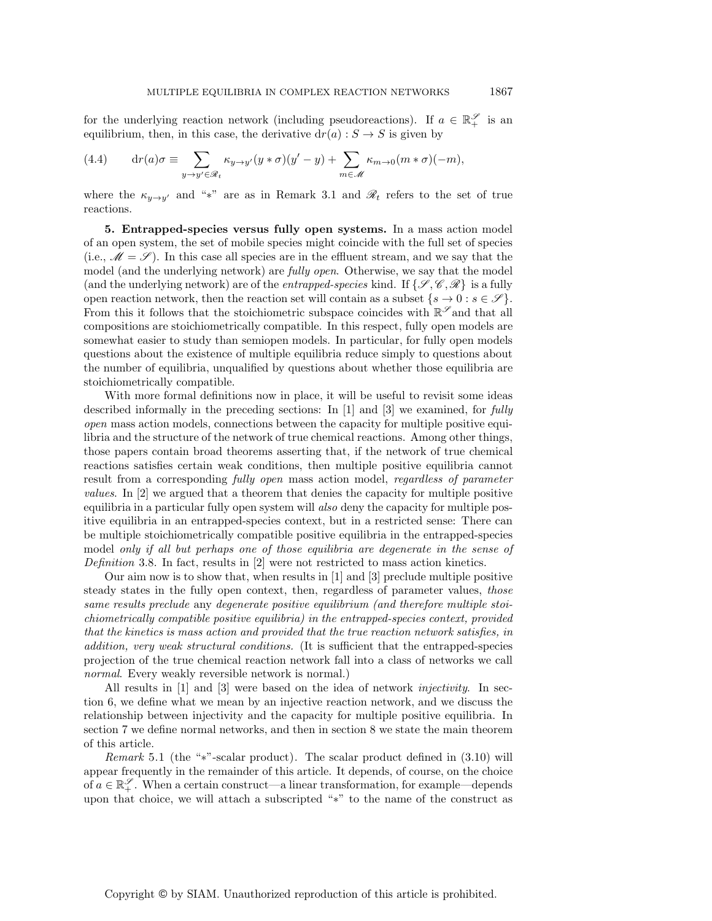for the underlying reaction network (including pseudoreactions). If  $a \in \mathbb{R}_+^{\mathscr{S}}$  is an equilibrium, then, in this case, the derivative  $dr(a) : S \to S$  is given by

(4.4) 
$$
\mathrm{d}r(a)\sigma \equiv \sum_{y \to y' \in \mathscr{R}_t} \kappa_{y \to y'}(y * \sigma)(y' - y) + \sum_{m \in \mathscr{M}} \kappa_{m \to 0}(m * \sigma)(-m),
$$

where the  $\kappa_{y\to y'}$  and "\*" are as in Remark 3.1 and  $\mathscr{R}_t$  refers to the set of true reactions.

**5. Entrapped-species versus fully open systems.** In a mass action model of an open system, the set of mobile species might coincide with the full set of species (i.e.,  $\mathcal{M} = \mathcal{S}$ ). In this case all species are in the effluent stream, and we say that the model (and the underlying network) are *fully open*. Otherwise, we say that the model (and the underlying network) are of the *entrapped-species* kind. If  $\{\mathscr{S}, \mathscr{C}, \mathscr{R}\}\)$  is a fully open reaction network, then the reaction set will contain as a subset  $\{s \to 0 : s \in \mathscr{S}\}.$ From this it follows that the stoichiometric subspace coincides with  $\mathbb{R}^{\mathscr{S}}$  and that all compositions are stoichiometrically compatible. In this respect, fully open models are somewhat easier to study than semiopen models. In particular, for fully open models questions about the existence of multiple equilibria reduce simply to questions about the number of equilibria, unqualified by questions about whether those equilibria are stoichiometrically compatible.

With more formal definitions now in place, it will be useful to revisit some ideas described informally in the preceding sections: In [1] and [3] we examined, for *fully open* mass action models, connections between the capacity for multiple positive equilibria and the structure of the network of true chemical reactions. Among other things, those papers contain broad theorems asserting that, if the network of true chemical reactions satisfies certain weak conditions, then multiple positive equilibria cannot result from a corresponding *fully open* mass action model, *regardless of parameter values*. In [2] we argued that a theorem that denies the capacity for multiple positive equilibria in a particular fully open system will *also* deny the capacity for multiple positive equilibria in an entrapped-species context, but in a restricted sense: There can be multiple stoichiometrically compatible positive equilibria in the entrapped-species model *only if all but perhaps one of those equilibria are degenerate in the sense of Definition* 3.8. In fact, results in [2] were not restricted to mass action kinetics.

Our aim now is to show that, when results in [1] and [3] preclude multiple positive steady states in the fully open context, then, regardless of parameter values, *those same results preclude* any *degenerate positive equilibrium (and therefore multiple stoichiometrically compatible positive equilibria) in the entrapped-species context, provided that the kinetics is mass action and provided that the true reaction network satisfies, in addition, very weak structural conditions.* (It is sufficient that the entrapped-species projection of the true chemical reaction network fall into a class of networks we call *normal*. Every weakly reversible network is normal.)

All results in [1] and [3] were based on the idea of network *injectivity*. In section 6, we define what we mean by an injective reaction network, and we discuss the relationship between injectivity and the capacity for multiple positive equilibria. In section 7 we define normal networks, and then in section 8 we state the main theorem of this article.

*Remark* 5.1 (the "∗"-scalar product). The scalar product defined in  $(3.10)$  will appear frequently in the remainder of this article. It depends, of course, on the choice of  $a \in \mathbb{R}_+^{\mathscr{S}}$ . When a certain construct—a linear transformation, for example—depends upon that choice, we will attach a subscripted "∗" to the name of the construct as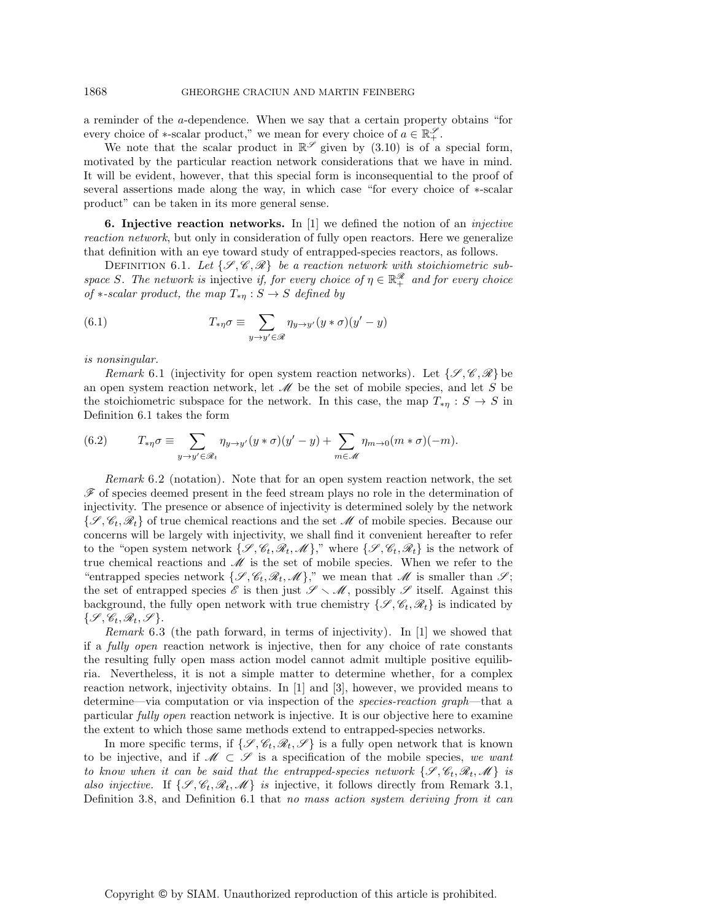a reminder of the a-dependence. When we say that a certain property obtains "for every choice of  $*$ -scalar product," we mean for every choice of  $a \in \mathbb{R}_+^{\mathscr{S}}$ .

We note that the scalar product in  $\mathbb{R}^{\mathscr{S}}$  given by (3.10) is of a special form, motivated by the particular reaction network considerations that we have in mind. It will be evident, however, that this special form is inconsequential to the proof of several assertions made along the way, in which case "for every choice of ∗-scalar product" can be taken in its more general sense.

**6. Injective reaction networks.** In [1] we defined the notion of an *injective reaction network*, but only in consideration of fully open reactors. Here we generalize that definition with an eye toward study of entrapped-species reactors, as follows.

DEFINITION 6.1. Let  $\{\mathcal{S}, \mathcal{C}, \mathcal{R}\}\)$  be a reaction network with stoichiometric sub*space* S. The network is injective *if, for every choice of*  $\eta \in \mathbb{R}^{\mathscr{R}}_+$  *and for every choice of* \*-scalar product, the map  $T_{*\eta}: S \to S$  defined by

(6.1) 
$$
T_{*\eta}\sigma \equiv \sum_{y \to y' \in \mathscr{R}} \eta_{y \to y'} (y * \sigma) (y' - y)
$$

*is nonsingular.*

*Remark* 6.1 (injectivity for open system reaction networks). Let  $\{\mathscr{S}, \mathscr{C}, \mathscr{R}\}\$ be an open system reaction network, let *M* be the set of mobile species, and let S be the stoichiometric subspace for the network. In this case, the map  $T_{*\eta}: S \to S$  in Definition 6.1 takes the form

(6.2) 
$$
T_{*\eta}\sigma \equiv \sum_{y \to y' \in \mathscr{R}_t} \eta_{y \to y'}(y * \sigma)(y' - y) + \sum_{m \in \mathscr{M}} \eta_{m \to 0}(m * \sigma)(-m).
$$

*Remark* 6.2 (notation). Note that for an open system reaction network, the set *F* of species deemed present in the feed stream plays no role in the determination of injectivity. The presence or absence of injectivity is determined solely by the network  $\{\mathscr{S}, \mathscr{C}_t, \mathscr{R}_t\}$  of true chemical reactions and the set  $\mathscr{M}$  of mobile species. Because our concerns will be largely with injectivity, we shall find it convenient hereafter to refer to the "open system network  $\{\mathcal{S}, \mathcal{C}_t, \mathcal{R}_t, \mathcal{M}\}\right)$ ," where  $\{\mathcal{S}, \mathcal{C}_t, \mathcal{R}_t\}$  is the network of true chemical reactions and *M* is the set of mobile species. When we refer to the "entrapped species network  $\{\mathscr{S}, \mathscr{C}_t, \mathscr{R}_t, \mathscr{M}\}\right)$ ," we mean that  $\mathscr{M}$  is smaller than  $\mathscr{S}$ ; the set of entrapped species  $\mathscr E$  is then just  $\mathscr S \setminus \mathscr M$ , possibly  $\mathscr S$  itself. Against this background, the fully open network with true chemistry  $\{\mathscr{S}, \mathscr{C}_t, \mathscr{R}_t\}$  is indicated by  $\{\mathscr{S}, \mathscr{C}_t, \mathscr{R}_t, \mathscr{S}\}.$ 

*Remark* 6.3 (the path forward, in terms of injectivity). In [1] we showed that if a *fully open* reaction network is injective, then for any choice of rate constants the resulting fully open mass action model cannot admit multiple positive equilibria. Nevertheless, it is not a simple matter to determine whether, for a complex reaction network, injectivity obtains. In [1] and [3], however, we provided means to determine—via computation or via inspection of the *species-reaction graph*—that a particular *fully open* reaction network is injective. It is our objective here to examine the extent to which those same methods extend to entrapped-species networks.

In more specific terms, if  $\{\mathscr{S}, \mathscr{C}_t, \mathscr{R}_t, \mathscr{S}\}\)$  is a fully open network that is known to be injective, and if  $\mathcal{M} \subset \mathcal{S}$  is a specification of the mobile species, *we want to know when it can be said that the entrapped-species network*  $\{\mathscr{S}, \mathscr{C}_t, \mathscr{R}_t, \mathscr{M}\}\$  *is also injective.* If  $\{\mathcal{S}, \mathcal{C}_t, \mathcal{R}_t, \mathcal{M}\}\$  *is* injective, it follows directly from Remark 3.1, Definition 3.8, and Definition 6.1 that *no mass action system deriving from it can*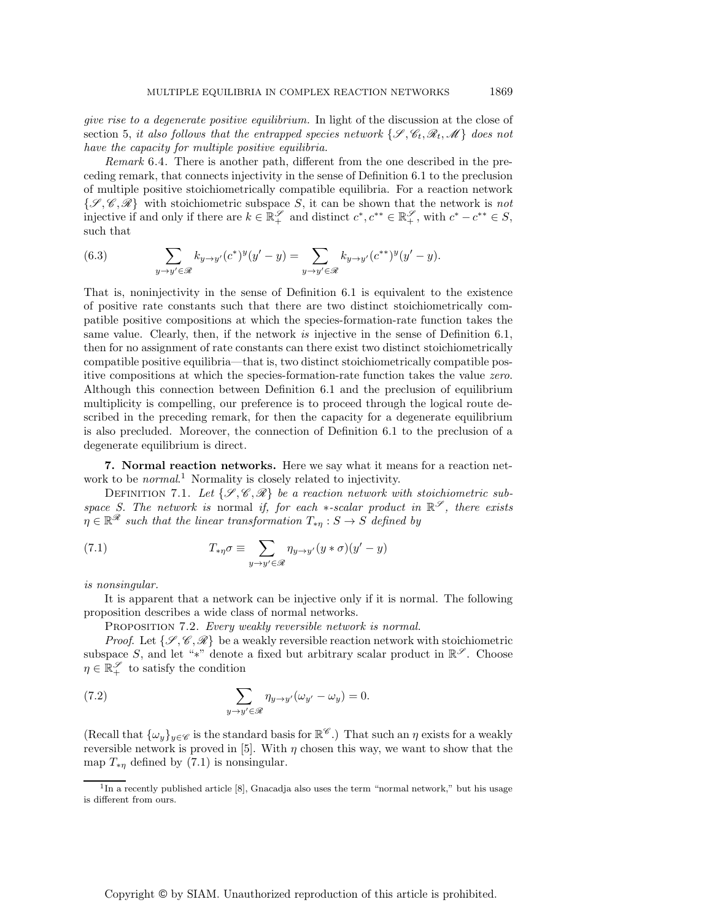*give rise to a degenerate positive equilibrium.* In light of the discussion at the close of section 5, *it also follows that the entrapped species network*  $\{\mathcal{S}, \mathcal{C}_t, \mathcal{R}_t, \mathcal{M}\}\)$  does not *have the capacity for multiple positive equilibria.*

*Remark* 6.4. There is another path, different from the one described in the preceding remark, that connects injectivity in the sense of Definition 6.1 to the preclusion of multiple positive stoichiometrically compatible equilibria. For a reaction network {*S* , *C*, *R*} with stoichiometric subspace S, it can be shown that the network is *not* injective if and only if there are  $k \in \mathbb{R}^{\mathscr{S}}_+$  and distinct  $c^*, c^{**} \in \mathbb{R}^{\mathscr{S}}_+$ , with  $c^* - c^{**} \in S$ , such that

(6.3) 
$$
\sum_{y \to y' \in \mathscr{R}} k_{y \to y'} (c^*)^y (y' - y) = \sum_{y \to y' \in \mathscr{R}} k_{y \to y'} (c^{**})^y (y' - y).
$$

That is, noninjectivity in the sense of Definition 6.1 is equivalent to the existence of positive rate constants such that there are two distinct stoichiometrically compatible positive compositions at which the species-formation-rate function takes the same value. Clearly, then, if the network *is* injective in the sense of Definition 6.1, then for no assignment of rate constants can there exist two distinct stoichiometrically compatible positive equilibria—that is, two distinct stoichiometrically compatible positive compositions at which the species-formation-rate function takes the value *zero*. Although this connection between Definition 6.1 and the preclusion of equilibrium multiplicity is compelling, our preference is to proceed through the logical route described in the preceding remark, for then the capacity for a degenerate equilibrium is also precluded. Moreover, the connection of Definition 6.1 to the preclusion of a degenerate equilibrium is direct.

**7. Normal reaction networks.** Here we say what it means for a reaction network to be *normal*. <sup>1</sup> Normality is closely related to injectivity.

DEFINITION 7.1. Let  $\{\mathcal{S}, \mathcal{C}, \mathcal{R}\}$  be a reaction network with stoichiometric sub*space S. The network is* normal *if, for each*  $*$ *-scalar product in*  $\mathbb{R}^{\mathscr{S}}$ *, there exists*  $\eta \in \mathbb{R}^{\mathscr{R}}$  *such that the linear transformation*  $T_{* \eta}: S \to S$  *defined by* 

(7.1) 
$$
T_{*\eta}\sigma \equiv \sum_{y \to y' \in \mathscr{R}} \eta_{y \to y'} (y * \sigma) (y' - y)
$$

## *is nonsingular.*

It is apparent that a network can be injective only if it is normal. The following proposition describes a wide class of normal networks.

Proposition 7.2. *Every weakly reversible network is normal.*

*Proof.* Let  $\{\mathscr{S}, \mathscr{C}, \mathscr{R}\}$  be a weakly reversible reaction network with stoichiometric subspace S, and let "\*" denote a fixed but arbitrary scalar product in  $\mathbb{R}^{\mathscr{S}}$ . Choose  $\eta \in \mathbb{R}_+^{\mathscr{S}}$  to satisfy the condition

(7.2) 
$$
\sum_{y \to y' \in \mathscr{R}} \eta_{y \to y'}(\omega_{y'} - \omega_y) = 0.
$$

(Recall that  $\{\omega_y\}_{y\in\mathscr{C}}$  is the standard basis for  $\mathbb{R}^\mathscr{C}$ .) That such an  $\eta$  exists for a weakly reversible network is proved in [5]. With  $\eta$  chosen this way, we want to show that the map  $T_{*n}$  defined by (7.1) is nonsingular.

 $1$ In a recently published article [8], Gnacadja also uses the term "normal network," but his usage is different from ours.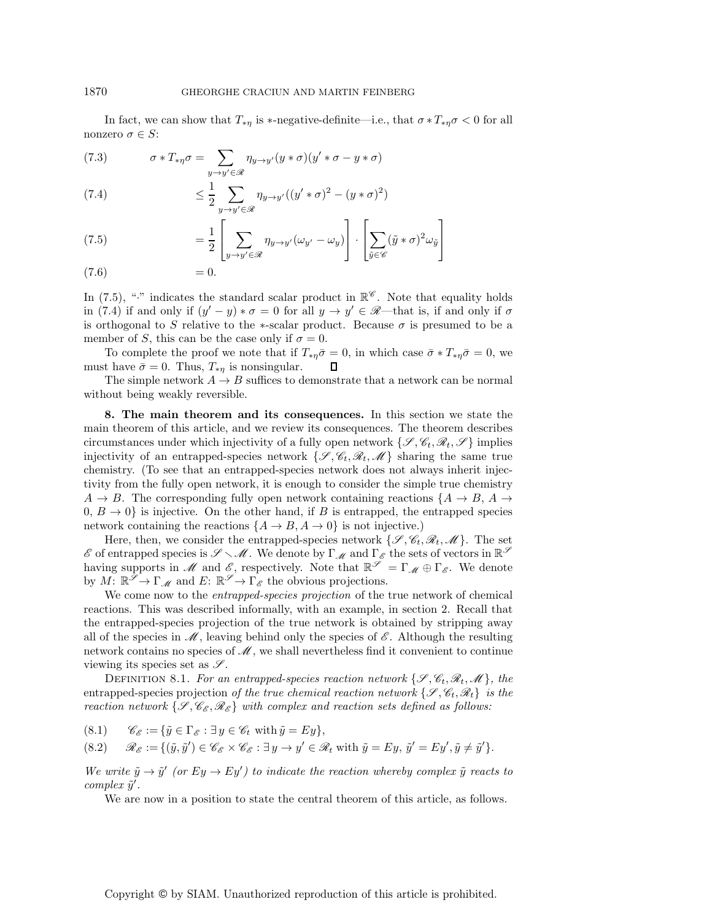In fact, we can show that  $T_{*\eta}$  is \*-negative-definite—i.e., that  $\sigma * T_{*\eta}\sigma < 0$  for all nonzero  $\sigma \in S$ :

 $\sigma \ast T_{\ast \eta} \sigma = \quad \sum$ y→y-∈*R* (7.3)  $\sigma * T_{*\eta} \sigma = \sum \eta_{y \to y'} (y * \sigma) (y' * \sigma - y * \sigma)$ 

(7.4) 
$$
\leq \frac{1}{2} \sum_{y \to y' \in \mathscr{R}} \eta_{y \to y'} ((y' * \sigma)^2 - (y * \sigma)^2)
$$

(7.5) 
$$
= \frac{1}{2} \left[ \sum_{y \to y' \in \mathscr{R}} \eta_{y \to y'} (\omega_{y'} - \omega_y) \right] \cdot \left[ \sum_{\tilde{y} \in \mathscr{C}} (\tilde{y} * \sigma)^2 \omega_{\tilde{y}} \right]
$$

$$
(7.6) \qquad \qquad = 0.
$$

In (7.5), "<sup>\*</sup> indicates the standard scalar product in  $\mathbb{R}^{\mathscr{C}}$ . Note that equality holds in (7.4) if and only if  $(y'-y)*\sigma = 0$  for all  $y \to y' \in \mathcal{R}$ —that is, if and only if  $\sigma$ is orthogonal to S relative to the  $*$ -scalar product. Because  $\sigma$  is presumed to be a member of S, this can be the case only if  $\sigma = 0$ .

To complete the proof we note that if  $T_{\ast \eta} \bar{\sigma} = 0$ , in which case  $\bar{\sigma} * T_{\ast \eta} \bar{\sigma} = 0$ , we t have  $\bar{\sigma} = 0$ . Thus,  $T_{\ast \eta}$  is nonsingular. must have  $\bar{\sigma} = 0$ . Thus,  $T_{*\eta}$  is nonsingular.

The simple network  $A \to B$  suffices to demonstrate that a network can be normal without being weakly reversible.

**8. The main theorem and its consequences.** In this section we state the main theorem of this article, and we review its consequences. The theorem describes circumstances under which injectivity of a fully open network  $\{\mathscr{S}, \mathscr{C}_t, \mathscr{R}_t, \mathscr{S}\}\$  implies injectivity of an entrapped-species network  $\{\mathscr{S}, \mathscr{C}_t, \mathscr{R}_t, \mathscr{M}\}\)$  sharing the same true chemistry. (To see that an entrapped-species network does not always inherit injectivity from the fully open network, it is enough to consider the simple true chemistry  $A \rightarrow B$ . The corresponding fully open network containing reactions  $\{A \rightarrow B, A \rightarrow B\}$  $(0, B \rightarrow 0)$  is injective. On the other hand, if B is entrapped, the entrapped species network containing the reactions  $\{A \rightarrow B, A \rightarrow 0\}$  is not injective.)

Here, then, we consider the entrapped-species network  $\{\mathscr{S}, \mathscr{C}_t, \mathscr{R}_t, \mathscr{M}\}\$ . The set  $\mathscr E$  of entrapped species is  $\mathscr S\smallsetminus\mathscr M$ . We denote by  $\Gamma_\mathscr M$  and  $\Gamma_\mathscr E$  the sets of vectors in  $\mathbb R^\mathscr S$ having supports in *M* and *E*, respectively. Note that  $\mathbb{R}^{\mathscr{S}} = \Gamma_M \oplus \Gamma_{\mathscr{E}}$ . We denote by  $M: \mathbb{R}^{\mathscr{S}} \to \Gamma_{\mathscr{M}}$  and  $E: \mathbb{R}^{\mathscr{S}} \to \Gamma_{\mathscr{E}}$  the obvious projections.

We come now to the *entrapped-species projection* of the true network of chemical reactions. This was described informally, with an example, in section 2. Recall that the entrapped-species projection of the true network is obtained by stripping away all of the species in  $\mathcal{M}$ , leaving behind only the species of  $\mathcal{E}$ . Although the resulting network contains no species of *M*, we shall nevertheless find it convenient to continue viewing its species set as *S* .

DEFINITION 8.1. For an entrapped-species reaction network  $\{\mathscr{S}, \mathscr{C}_t, \mathscr{R}_t, \mathscr{M}\}\)$ , the entrapped-species projection *of the true chemical reaction network*  $\{\mathscr{S}, \mathscr{C}_t, \mathscr{R}_t\}$  *is the reaction network*  $\{\mathcal{S}, \mathcal{C}_{\mathcal{E}}, \mathcal{R}_{\mathcal{E}}\}$  *with complex and reaction sets defined as follows:* 

(8.1)  $\mathscr{C}_{\mathscr{E}} := {\tilde{y} \in \Gamma_{\mathscr{E}} : \exists y \in \mathscr{C}_t \text{ with } \tilde{y} = Ey},$ 

 $(8.2)$   $\mathscr{R}_{\mathscr{E}} := \{ (\tilde{y}, \tilde{y}') \in \mathscr{C}_{\mathscr{E}} \times \mathscr{C}_{\mathscr{E}} : \exists y \to y' \in \mathscr{R}_t \text{ with } \tilde{y} = Ey, \, \tilde{y}' = Ey', \tilde{y} \neq \tilde{y}' \}.$ 

*We write*  $\tilde{y} \rightarrow \tilde{y}'$  *(or Ey*  $\rightarrow$  *Ey')* to indicate the reaction whereby complex  $\tilde{y}$  reacts to *complex*  $\tilde{y}'$ *.* 

We are now in a position to state the central theorem of this article, as follows.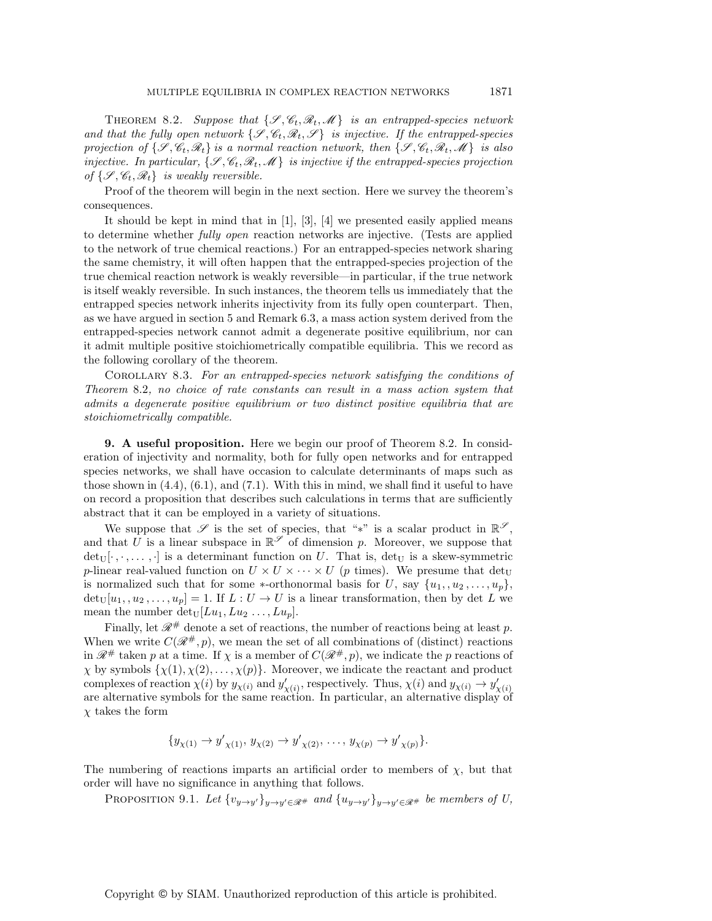THEOREM 8.2. Suppose that  $\{\mathcal{S}, \mathcal{C}_t, \mathcal{R}_t, \mathcal{M}\}\$  is an entrapped-species network *and that the fully open network*  $\{\mathcal{S}, \mathcal{C}_t, \mathcal{R}_t, \mathcal{S}\}$  *is injective. If the entrapped-species projection of*  $\{\mathcal{S}, \mathcal{C}_t, \mathcal{R}_t\}$  *is a normal reaction network, then*  $\{\mathcal{S}, \mathcal{C}_t, \mathcal{R}_t, \mathcal{M}\}$  *is also injective. In particular,*  $\{\mathcal{S}, \mathcal{C}_t, \mathcal{R}_t, \mathcal{M}\}\)$  *is injective if the entrapped-species projection of*  $\{\mathscr{S}, \mathscr{C}_t, \mathscr{R}_t\}$  *is weakly reversible.* 

Proof of the theorem will begin in the next section. Here we survey the theorem's consequences.

It should be kept in mind that in [1], [3], [4] we presented easily applied means to determine whether *fully open* reaction networks are injective. (Tests are applied to the network of true chemical reactions.) For an entrapped-species network sharing the same chemistry, it will often happen that the entrapped-species projection of the true chemical reaction network is weakly reversible—in particular, if the true network is itself weakly reversible. In such instances, the theorem tells us immediately that the entrapped species network inherits injectivity from its fully open counterpart. Then, as we have argued in section 5 and Remark 6.3, a mass action system derived from the entrapped-species network cannot admit a degenerate positive equilibrium, nor can it admit multiple positive stoichiometrically compatible equilibria. This we record as the following corollary of the theorem.

Corollary 8.3. *For an entrapped-species network satisfying the conditions of Theorem* 8.2*, no choice of rate constants can result in a mass action system that admits a degenerate positive equilibrium or two distinct positive equilibria that are stoichiometrically compatible.*

**9. A useful proposition.** Here we begin our proof of Theorem 8.2. In consideration of injectivity and normality, both for fully open networks and for entrapped species networks, we shall have occasion to calculate determinants of maps such as those shown in  $(4.4)$ ,  $(6.1)$ , and  $(7.1)$ . With this in mind, we shall find it useful to have on record a proposition that describes such calculations in terms that are sufficiently abstract that it can be employed in a variety of situations.

We suppose that  $\mathscr S$  is the set of species, that "\*" is a scalar product in  $\mathbb{R}^{\mathscr S}$ , and that U is a linear subspace in  $\mathbb{R}^{\mathscr{S}}$  of dimension p. Moreover, we suppose that  $det_U[\cdot, \cdot, \ldots, \cdot]$  is a determinant function on U. That is,  $det_U$  is a skew-symmetric p-linear real-valued function on  $U \times U \times \cdots \times U$  (p times). We presume that det<sub>U</sub> is normalized such that for some \*-orthonormal basis for U, say  $\{u_1, u_2, \ldots, u_p\}$ ,  $\det_U[u_1, u_2, \ldots, u_p]=1$ . If  $L : U \to U$  is a linear transformation, then by det L we mean the number det<sub>U</sub>[ $Lu_1, Lu_2, ..., Lu_p$ ].

Finally, let  $\mathcal{R}^{\#}$  denote a set of reactions, the number of reactions being at least p. When we write  $C(\mathcal{R}^{\#}, p)$ , we mean the set of all combinations of (distinct) reactions in  $\mathcal{R}^{\#}$  taken p at a time. If  $\chi$  is a member of  $C(\mathcal{R}^{\#}, p)$ , we indicate the p reactions of  $\chi$  by symbols  $\{\chi(1), \chi(2), \ldots, \chi(p)\}\$ . Moreover, we indicate the reactant and product complexes of reaction  $\chi(i)$  by  $y_{\chi(i)}$  and  $y'_{\chi(i)}$ , respectively. Thus,  $\chi(i)$  and  $y_{\chi(i)} \to y'_{\chi(i)}$ are alternative symbols for the same reaction. In particular, an alternative display of  $\chi$  takes the form

$$
\{y_{\chi(1)} \to y'_{\chi(1)}, y_{\chi(2)} \to y'_{\chi(2)}, \ldots, y_{\chi(p)} \to y'_{\chi(p)}\}.
$$

The numbering of reactions imparts an artificial order to members of  $\chi$ , but that order will have no significance in anything that follows.

PROPOSITION 9.1. Let  $\{v_{y\to y'}\}_{y\to y'\in\mathscr{R}^+}$  and  $\{u_{y\to y'}\}_{y\to y'\in\mathscr{R}^+}$  be members of U,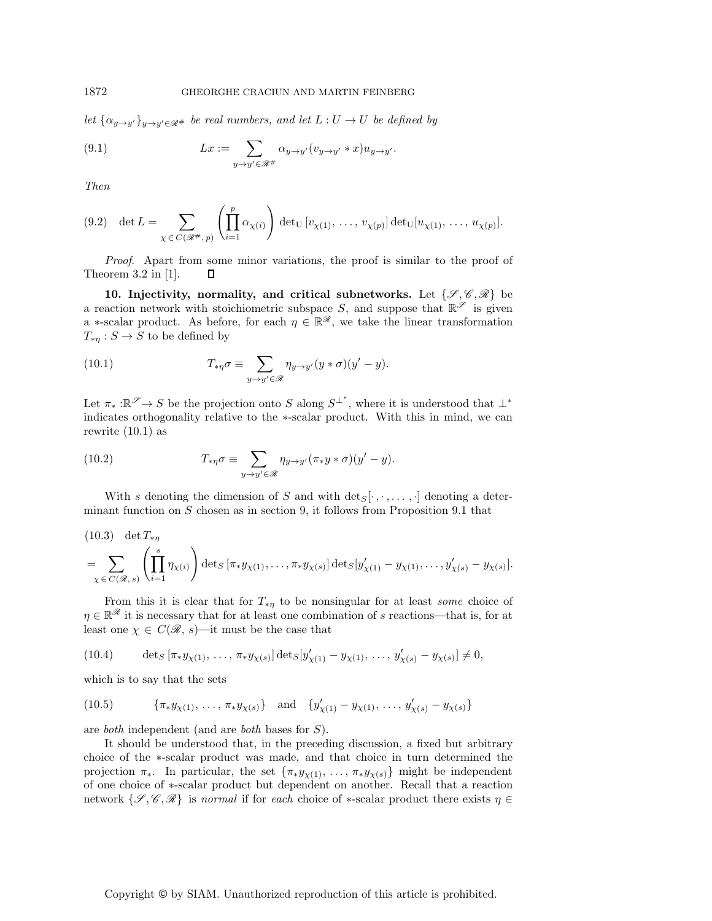Let  $\{\alpha_{y\to y'}\}_{y\to y'\in\mathscr{R}^+}$  *be real numbers, and let*  $L:U\to U$  *be defined by* 

(9.1) 
$$
Lx := \sum_{y \to y' \in \mathcal{R}^+} \alpha_{y \to y'} (v_{y \to y'} * x) u_{y \to y'}.
$$

*Then*

$$
(9.2) \quad \det L = \sum_{\chi \in C(\mathcal{R}^{\#}, p)} \left( \prod_{i=1}^{p} \alpha_{\chi(i)} \right) \det_{U} [v_{\chi(1)}, \dots, v_{\chi(p)}] \det_{U} [u_{\chi(1)}, \dots, u_{\chi(p)}].
$$

*Proof*. Apart from some minor variations, the proof is similar to the proof of Theorem 3.2 in [1].  $\Box$ 

**10. Injectivity, normality, and critical subnetworks.** Let  $\{\mathscr{S}, \mathscr{C}, \mathscr{R}\}$  be a reaction network with stoichiometric subspace S, and suppose that  $\mathbb{R}^{\mathscr{S}}$  is given a \*-scalar product. As before, for each  $\eta \in \mathbb{R}^{\mathscr{R}}$ , we take the linear transformation  $T_{*\eta}: S \to S$  to be defined by

(10.1) 
$$
T_{*\eta}\sigma \equiv \sum_{y \to y' \in \mathscr{R}} \eta_{y \to y'} (y * \sigma) (y' - y).
$$

Let  $\pi_* : \mathbb{R}^{\mathscr{S}} \to S$  be the projection onto S along  $S^{\perp^*}$ , where it is understood that  $\perp^*$ indicates orthogonality relative to the ∗-scalar product. With this in mind, we can rewrite  $(10.1)$  as

(10.2) 
$$
T_{*\eta}\sigma \equiv \sum_{y \to y' \in \mathscr{R}} \eta_{y \to y'} (\pi_* y * \sigma)(y' - y).
$$

With s denoting the dimension of S and with  $\text{det}_S[\cdot, \cdot, \ldots, \cdot]$  denoting a determinant function on  $S$  chosen as in section 9, it follows from Proposition 9.1 that

(10.3) det 
$$
T_{*\eta}
$$
  
=  $\sum_{\chi \in C(\mathscr{R},s)} \left( \prod_{i=1}^s \eta_{\chi(i)} \right) \det_S [\pi_* y_{\chi(1)}, \dots, \pi_* y_{\chi(s)}] \det_S [y'_{\chi(1)} - y_{\chi(1)}, \dots, y'_{\chi(s)} - y_{\chi(s)}].$ 

From this it is clear that for  $T_{\ast\eta}$  to be nonsingular for at least *some* choice of  $\eta \in \mathbb{R}^{\mathscr{R}}$  it is necessary that for at least one combination of s reactions—that is, for at least one  $\chi \in C(\mathcal{R}, s)$ —it must be the case that

$$
(10.4) \qquad \det_S \left[ \pi_* y_{\chi(1)}, \ldots, \pi_* y_{\chi(s)} \right] \det_S \left[ y'_{\chi(1)} - y_{\chi(1)}, \ldots, y'_{\chi(s)} - y_{\chi(s)} \right] \neq 0,
$$

which is to say that the sets

(10.5) 
$$
\{\pi_* y_{\chi(1)}, \ldots, \pi_* y_{\chi(s)}\}\
$$
 and  $\{y'_{\chi(1)} - y_{\chi(1)}, \ldots, y'_{\chi(s)} - y_{\chi(s)}\}\$ 

are *both* independent (and are *both* bases for S).

It should be understood that, in the preceding discussion, a fixed but arbitrary choice of the ∗-scalar product was made, and that choice in turn determined the projection  $\pi_*$ . In particular, the set  $\{\pi_* y_{\chi(1)}, \ldots, \pi_* y_{\chi(s)}\}$  might be independent of one choice of ∗-scalar product but dependent on another. Recall that a reaction network  $\{\mathscr{S}, \mathscr{C}, \mathscr{R}\}\)$  is *normal* if for *each* choice of  $*$ -scalar product there exists  $\eta \in$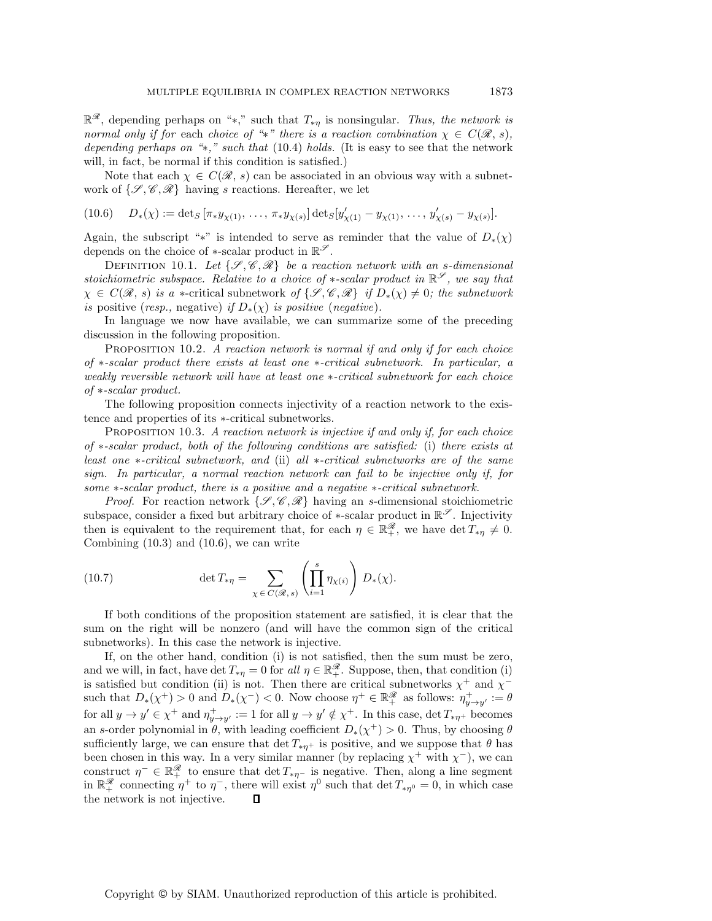<sup>R</sup>*R*, depending perhaps on "∗," such that <sup>T</sup>∗<sup>η</sup> is nonsingular. *Thus, the network is normal only if for each choice of "*\*" *there is a reaction combination*  $\chi \in C(\mathcal{R}, s)$ *, depending perhaps on "*∗*," such that* (10.4) *holds.* (It is easy to see that the network will, in fact, be normal if this condition is satisfied.)

Note that each  $\chi \in C(\mathcal{R}, s)$  can be associated in an obvious way with a subnetwork of  $\{\mathscr{S}, \mathscr{C}, \mathscr{R}\}\$  having s reactions. Hereafter, we let

$$
(10.6) \quad D_*(\chi) := \det_S \left[ \pi_* y_{\chi(1)}, \ldots, \pi_* y_{\chi(s)} \right] \det_S [y'_{\chi(1)} - y_{\chi(1)}, \ldots, y'_{\chi(s)} - y_{\chi(s)}].
$$

Again, the subscript "\*" is intended to serve as reminder that the value of  $D_{*}(\chi)$ depends on the choice of ∗-scalar product in R*<sup>S</sup>* .

DEFINITION 10.1. Let  $\{\mathcal{S}, \mathcal{C}, \mathcal{R}\}\$ be a reaction network with an s-dimensional *stoichiometric subspace. Relative to a choice of*  $*$ *-scalar product in*  $\mathbb{R}^S$ , we say that  $\chi \in C(\mathcal{R}, s)$  *is a* \*-critical subnetwork of  $\{\mathcal{S}, \mathcal{C}, \mathcal{R}\}\$  *if*  $D_*(\chi) \neq 0$ *; the subnetwork is* positive (*resp.,* negative) *if*  $D_*(\chi)$  *is positive* (*negative*).

In language we now have available, we can summarize some of the preceding discussion in the following proposition.

Proposition 10.2. *A reaction network is normal if and only if for each choice of* ∗*-scalar product there exists at least one* ∗*-critical subnetwork. In particular, a weakly reversible network will have at least one* ∗*-critical subnetwork for each choice of* ∗*-scalar product.*

The following proposition connects injectivity of a reaction network to the existence and properties of its ∗-critical subnetworks.

Proposition 10.3. *A reaction network is injective if and only if, for each choice of* ∗*-scalar product, both of the following conditions are satisfied:* (i) *there exists at least one* ∗*-critical subnetwork, and* (ii) *all* ∗*-critical subnetworks are of the same sign. In particular, a normal reaction network can fail to be injective only if, for some* ∗*-scalar product, there is a positive and a negative* ∗*-critical subnetwork.*

*Proof.* For reaction network  $\{\mathcal{S}, \mathcal{C}, \mathcal{R}\}\$  having an s-dimensional stoichiometric subspace, consider a fixed but arbitrary choice of \*-scalar product in  $\mathbb{R}^{\mathscr{S}}$ . Injectivity then is equivalent to the requirement that, for each  $\eta \in \mathbb{R}^{\mathscr{R}}_+$ , we have det  $T_{*\eta} \neq 0$ . Combining  $(10.3)$  and  $(10.6)$ , we can write

(10.7) 
$$
\det T_{*\eta} = \sum_{\chi \in C(\mathscr{R}, s)} \left( \prod_{i=1}^s \eta_{\chi(i)} \right) D_*(\chi).
$$

If both conditions of the proposition statement are satisfied, it is clear that the sum on the right will be nonzero (and will have the common sign of the critical subnetworks). In this case the network is injective.

If, on the other hand, condition (i) is not satisfied, then the sum must be zero, and we will, in fact, have det  $T_{*\eta} = 0$  for *all*  $\eta \in \mathbb{R}^{\mathscr{R}}_+$ . Suppose, then, that condition (i) is satisfied but condition (ii) is not. Then there are critical subnetworks  $\chi^+$  and  $\chi^$ such that  $D_*(\chi^+) > 0$  and  $D_*(\chi^-) < 0$ . Now choose  $\eta^+ \in \mathbb{R}_+^{\mathscr{R}}$  as follows:  $\eta^+_{y \to y'} := \theta$ for all  $y \to y' \in \chi^+$  and  $\eta^+_{y \to y'} := 1$  for all  $y \to y' \notin \chi^+$ . In this case,  $\det T_{*\eta^+}$  becomes an s-order polynomial in  $\theta$ , with leading coefficient  $D_*(\chi^+) > 0$ . Thus, by choosing  $\theta$ sufficiently large, we can ensure that det  $T_{\ast \eta^+}$  is positive, and we suppose that  $\theta$  has been chosen in this way. In a very similar manner (by replacing  $\chi^+$  with  $\chi^-$ ), we can construct  $\eta^- \in \mathbb{R}^{\mathscr{R}}_+$  to ensure that det  $T_{*\eta^-}$  is negative. Then, along a line segment in  $\mathbb{R}^{\mathscr{R}}_+$  connecting  $\eta^+$  to  $\eta^-$ , there will exist  $\eta^0$  such that  $\det T_{*\eta^0} = 0$ , in which case the network is not injective.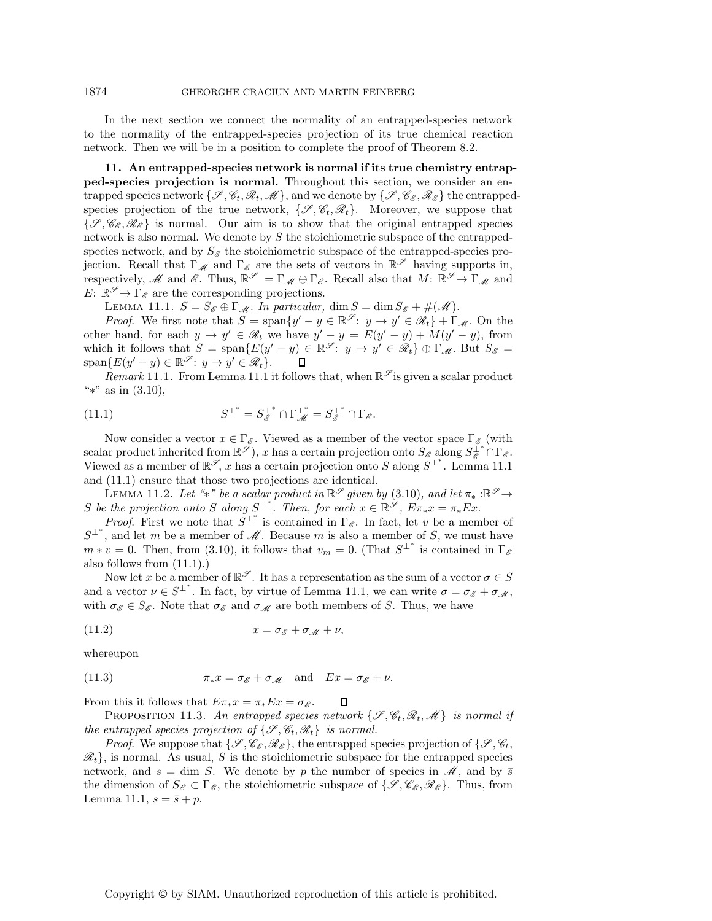## 1874 GHEORGHE CRACIUN AND MARTIN FEINBERG

In the next section we connect the normality of an entrapped-species network to the normality of the entrapped-species projection of its true chemical reaction network. Then we will be in a position to complete the proof of Theorem 8.2.

**11. An entrapped-species network is normal if its true chemistry entrapped-species projection is normal.** Throughout this section, we consider an entrapped species network  $\{\mathscr{S}, \mathscr{C}_t, \mathscr{R}_t, \mathscr{M}\}\)$ , and we denote by  $\{\mathscr{S}, \mathscr{C}_{\mathscr{E}}, \mathscr{R}_{\mathscr{E}}\}$  the entrappedspecies projection of the true network,  $\{\mathscr{S}, \mathscr{C}_t, \mathscr{R}_t\}$ . Moreover, we suppose that  $\{\mathscr{S}, \mathscr{C}_{\mathscr{E}}, \mathscr{R}_{\mathscr{E}}\}$  is normal. Our aim is to show that the original entrapped species network is also normal. We denote by  $S$  the stoichiometric subspace of the entrappedspecies network, and by  $S_{\mathscr{E}}$  the stoichiometric subspace of the entrapped-species projection. Recall that  $\Gamma_{\mathscr{M}}$  and  $\Gamma_{\mathscr{E}}$  are the sets of vectors in  $\mathbb{R}^{\mathscr{S}}$  having supports in, respectively, *M* and *E*. Thus,  $\mathbb{R}^{\mathscr{S}} = \Gamma_{\mathscr{M}} \oplus \Gamma_{\mathscr{E}}$ . Recall also that  $M: \mathbb{R}^{\mathscr{S}} \to \Gamma_{\mathscr{M}}$  and  $E: \mathbb{R}^{\mathscr{S}} \to \Gamma_{\mathscr{E}}$  are the corresponding projections.

LEMMA 11.1.  $S = S_{\mathscr{E}} \oplus \Gamma_{\mathscr{M}}$ . In particular,  $\dim S = \dim S_{\mathscr{E}} + \#(\mathscr{M})$ .

*Proof.* We first note that  $S = \text{span}\{y' - y \in \mathbb{R}^\mathscr{S} : y \to y' \in \mathscr{R}_t\} + \Gamma_{\mathscr{M}}$ . On the other hand, for each  $y \to y' \in \mathcal{R}_t$  we have  $y' - y = E(y' - y) + M(y' - y)$ , from which it follows that  $S = \text{span}\{E(y'-y) \in \mathbb{R}^\mathscr{S} : y \to y' \in \mathscr{R}_t\} \oplus \Gamma_{\mathscr{M}}$ . But  $S_{\mathscr{E}} =$  $span{E(y'-y) \in \mathbb{R}^\mathscr{S}: y \to y' \in \mathscr{R}_t}.$  $\Box$ 

*Remark* 11.1. From Lemma 11.1 it follows that, when  $\mathbb{R}^{\mathscr{S}}$  is given a scalar product "∗" as in (3.10),

(11.1) 
$$
S^{\perp^*} = S_{\mathscr{E}}^{\perp^*} \cap \Gamma_{\mathscr{M}}^{\perp^*} = S_{\mathscr{E}}^{\perp^*} \cap \Gamma_{\mathscr{E}}.
$$

Now consider a vector  $x \in \Gamma_{\mathscr{E}}$ . Viewed as a member of the vector space  $\Gamma_{\mathscr{E}}$  (with  $\text{scalar product inherited from } \mathbb{R}^{\mathscr{S}}$ , x has a certain projection onto  $S_{\mathscr{E}}$  along  $S_{\mathscr{E}}^{\perp^*} \cap \Gamma_{\mathscr{E}}$ . Viewed as a member of  $\mathbb{R}^\mathscr{S}$ , x has a certain projection onto S along  $S^{\perp^*}$ . Lemma 11.1 and (11.1) ensure that those two projections are identical.

LEMMA 11.2. Let "\*" be a scalar product in  $\mathbb{R}^\mathscr{S}$  given by (3.10), and let  $\pi_* : \mathbb{R}^\mathscr{S} \to$ S be the projection onto S along  $S^{\perp^*}$ . Then, for each  $x \in \mathbb{R}^\mathscr{S}$ ,  $E\pi_* x = \pi_* E x$ .

*Proof.* First we note that  $S^{\perp^*}$  is contained in  $\Gamma_{\mathscr{E}}$ . In fact, let v be a member of  $S^{\perp^*}$ , and let m be a member of  $\mathscr M$ . Because m is also a member of S, we must have  $m * v = 0$ . Then, from (3.10), it follows that  $v_m = 0$ . (That  $S^{\perp^*}$  is contained in  $\Gamma_{\mathscr{E}}$ also follows from (11.1).)

Now let x be a member of  $\mathbb{R}^{\mathscr{S}}$ . It has a representation as the sum of a vector  $\sigma \in S$ and a vector  $\nu \in S^{\perp^*}$ . In fact, by virtue of Lemma 11.1, we can write  $\sigma = \sigma_{\mathscr{E}} + \sigma_{\mathscr{M}}$ , with  $\sigma_{\mathscr{E}} \in S_{\mathscr{E}}$ . Note that  $\sigma_{\mathscr{E}}$  and  $\sigma_{\mathscr{M}}$  are both members of S. Thus, we have

$$
(11.2) \t\t x = \sigma_{\mathscr{E}} + \sigma_{\mathscr{M}} + \nu,
$$

whereupon

(11.3) 
$$
\pi_* x = \sigma_{\mathscr{E}} + \sigma_{\mathscr{M}} \quad \text{and} \quad Ex = \sigma_{\mathscr{E}} + \nu.
$$

From this it follows that  $E\pi_* x = \pi_* E x = \sigma_{\mathscr{E}}$ . Л

PROPOSITION 11.3. An entrapped species network  $\{\mathcal{S}, \mathcal{C}_t, \mathcal{R}_t, \mathcal{M}\}\$  is normal if *the entrapped species projection of*  $\{\mathcal{S}, \mathcal{C}_t, \mathcal{R}_t\}$  *is normal.* 

*Proof.* We suppose that  $\{\mathscr{S}, \mathscr{C}_{\mathscr{E}}, \mathscr{R}_{\mathscr{E}}\}$ , the entrapped species projection of  $\{\mathscr{S}, \mathscr{C}_t, \mathscr{C}_t\}$  $\mathcal{R}_t$ , is normal. As usual, S is the stoichiometric subspace for the entrapped species network, and  $s = \dim S$ . We denote by p the number of species in  $\mathcal{M}$ , and by  $\bar{s}$ the dimension of  $S_{\mathscr{E}} \subset \Gamma_{\mathscr{E}}$ , the stoichiometric subspace of  $\{\mathscr{S}, \mathscr{C}_{\mathscr{E}}, \mathscr{R}_{\mathscr{E}}\}$ . Thus, from Lemma 11.1,  $s = \bar{s} + p$ .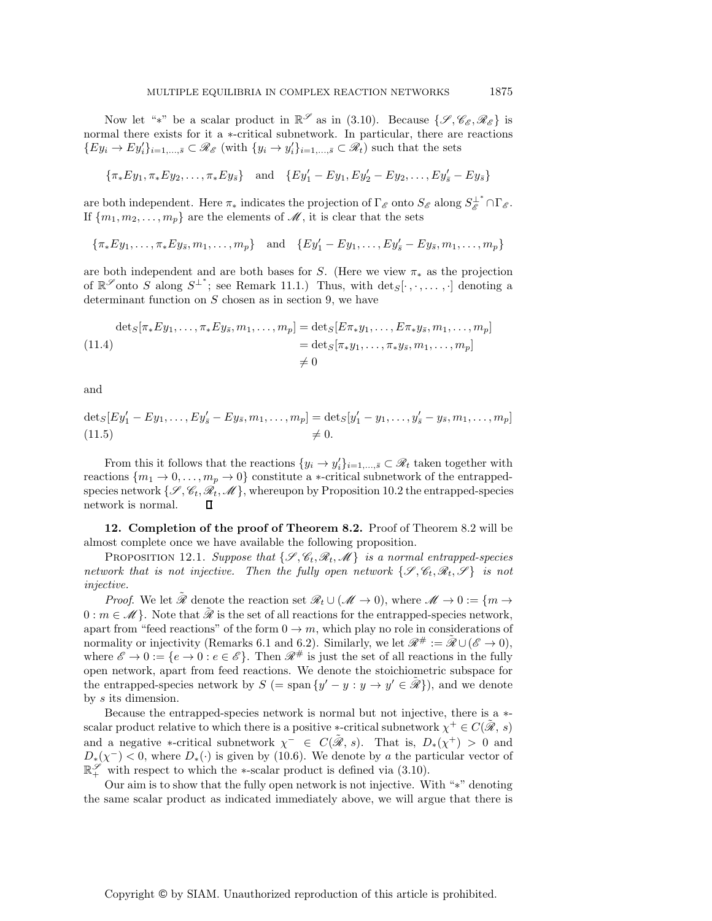Now let "\*" be a scalar product in  $\mathbb{R}^{\mathscr{S}}$  as in (3.10). Because  $\{\mathscr{S}, \mathscr{C}_{\mathscr{E}}, \mathscr{R}_{\mathscr{E}}\}$  is normal there exists for it a ∗-critical subnetwork. In particular, there are reactions  ${E y_i \to E y_i'}_{i=1,\ldots,\bar{s}} \subset \mathcal{R}_{\mathcal{E}}$  (with  ${y_i \to y_i'}_{i=1,\ldots,\bar{s}} \subset \mathcal{R}_t$ ) such that the sets

$$
\{\pi_* E y_1, \pi_* E y_2, \dots, \pi_* E y_{\bar{s}}\} \quad \text{and} \quad \{E y_1' - E y_1, E y_2' - E y_2, \dots, E y_{\bar{s}}' - E y_{\bar{s}}\}
$$

are both independent. Here  $\pi_*$  indicates the projection of  $\Gamma_{\mathscr{E}}$  onto  $S_{\mathscr{E}}$  along  $S_{\mathscr{E}}^{\perp^*} \cap \Gamma_{\mathscr{E}}$ . If  $\{m_1, m_2, \ldots, m_p\}$  are the elements of  $\mathscr{M}$ , it is clear that the sets

$$
\{\pi_* E y_1, \ldots, \pi_* E y_{\bar{s}}, m_1, \ldots, m_p\}
$$
 and  $\{E y'_1 - E y_1, \ldots, E y'_{\bar{s}} - E y_{\bar{s}}, m_1, \ldots, m_p\}$ 

are both independent and are both bases for S. (Here we view  $\pi_*$  as the projection of  $\mathbb{R}^{\mathscr{S}}$  onto S along  $S^{\perp^*}$ ; see Remark 11.1.) Thus, with  $\det_S[\cdot, \cdot, \dots, \cdot]$  denoting a determinant function on  $S$  chosen as in section 9, we have

$$
\det_S[\pi_* E y_1, \dots, \pi_* E y_{\bar{s}}, m_1, \dots, m_p] = \det_S[E \pi_* y_1, \dots, E \pi_* y_{\bar{s}}, m_1, \dots, m_p]
$$
  
= 
$$
\det_S[\pi_* y_1, \dots, \pi_* y_{\bar{s}}, m_1, \dots, m_p]
$$
  

$$
\neq 0
$$

and

$$
\det_{S} [Ey'_1 - Ey_1, \dots, Ey'_{\bar{s}} - Ey_{\bar{s}}, m_1, \dots, m_p] = \det_{S} [y'_1 - y_1, \dots, y'_{\bar{s}} - y_{\bar{s}}, m_1, \dots, m_p]
$$
  
(11.5)  $\neq 0.$ 

From this it follows that the reactions  $\{y_i \to y_i'\}_{i=1,\dots,\bar{s}} \subset \mathcal{R}_t$  taken together with reactions  $\{m_1 \to 0, \ldots, m_p \to 0\}$  constitute a  $\ast$ -critical subnetwork of the entrappedspecies network  $\{\mathcal{S}, \mathcal{C}_t, \mathcal{R}_t, \mathcal{M}\}$ , whereupon by Proposition 10.2 the entrapped-species network is normal. П

**12. Completion of the proof of Theorem 8.2.** Proof of Theorem 8.2 will be almost complete once we have available the following proposition.

PROPOSITION 12.1. *Suppose that*  $\{\mathcal{S}, \mathcal{C}_t, \mathcal{R}_t, \mathcal{M}\}\$  *is a normal entrapped-species network that is not injective. Then the fully open network*  $\{\mathcal{S}, \mathcal{C}_t, \mathcal{R}_t, \mathcal{S}\}\$  *is not injective.*

*Proof.* We let  $\tilde{\mathcal{R}}$  denote the reaction set  $\mathcal{R}_t \cup (\mathcal{M} \to 0)$ , where  $\mathcal{M} \to 0 := \{m \to \infty\}$  $0 : m \in \mathcal{M}$ . Note that  $\tilde{\mathcal{R}}$  is the set of all reactions for the entrapped-species network, apart from "feed reactions" of the form  $0 \to m$ , which play no role in considerations of normality or injectivity (Remarks 6.1 and 6.2). Similarly, we let  $\mathscr{R}^{\#} := \mathscr{R} \cup (\mathscr{E} \to 0)$ , where  $\mathscr{E} \to 0 := \{e \to 0 : e \in \mathscr{E}\}\$ . Then  $\mathscr{R}^{\#}$  is just the set of all reactions in the fully open network, apart from feed reactions. We denote the stoichiometric subspace for the entrapped-species network by  $S = \text{span}\{y' - y : y \to y' \in \mathcal{R}\}\)$ , and we denote by s its dimension.

Because the entrapped-species network is normal but not injective, there is a ∗ scalar product relative to which there is a positive \*-critical subnetwork  $\chi^+ \in C(\mathcal{R}, s)$ and a negative \*-critical subnetwork  $\chi^- \in C(\tilde{\mathcal{R}}, s)$ . That is,  $D_*(\chi^+) > 0$  and  $D_*(\chi^-) < 0$ , where  $D_*(\cdot)$  is given by (10.6). We denote by a the particular vector of R*<sup>S</sup>* <sup>+</sup> with respect to which the ∗-scalar product is defined via (3.10).

Our aim is to show that the fully open network is not injective. With "∗" denoting the same scalar product as indicated immediately above, we will argue that there is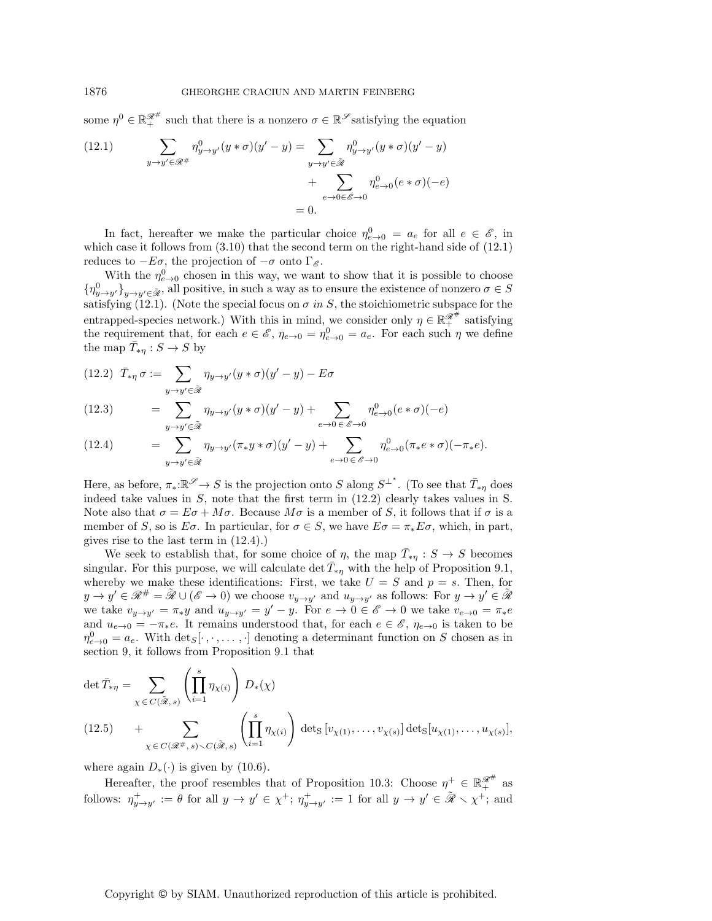some  $\eta^0 \in \mathbb{R}_+^{\mathscr{R}^{\#}}$  such that there is a nonzero  $\sigma \in \mathbb{R}^\mathscr{S}$  satisfying the equation

(12.1) 
$$
\sum_{y \to y' \in \mathcal{R}^{\#}} \eta_{y \to y'}^0(y * \sigma)(y' - y) = \sum_{y \to y' \in \tilde{\mathcal{R}}} \eta_{y \to y'}^0(y * \sigma)(y' - y)
$$

$$
+ \sum_{e \to 0 \in \mathcal{E} \to 0} \eta_{e \to 0}^0(e * \sigma)(-e)
$$

$$
= 0.
$$

In fact, hereafter we make the particular choice  $\eta_{e\to 0}^0 = a_e$  for all  $e \in \mathscr{E}$ , in which case it follows from  $(3.10)$  that the second term on the right-hand side of  $(12.1)$ reduces to  $-E\sigma$ , the projection of  $-\sigma$  onto Γ<sub>*ε*</sub>.

With the  $\eta_{e\to 0}^0$  chosen in this way, we want to show that it is possible to choose  ${n^0_{y\to y'}}_{y\to y'\in\tilde{\mathscr{R}}}$ , all positive, in such a way as to ensure the existence of nonzero  $\sigma \in S$ satisfying (12.1). (Note the special focus on  $\sigma$  *in*  $S$ , the stoichiometric subspace for the entrapped-species network.) With this in mind, we consider only  $\eta \in \mathbb{R}^{\mathscr{R}^\#}_+$  satisfying the requirement that, for each  $e \in \mathscr{E}$ ,  $\eta_{e\to 0} = \eta_{e\to 0}^0 = a_e$ . For each such  $\eta$  we define the map  $\bar{T}_{*\eta}: S \to S$  by

(12.2) 
$$
\bar{T}_{*\eta} \sigma := \sum_{y \to y' \in \tilde{\mathcal{R}}} \eta_{y \to y'} (y * \sigma)(y' - y) - E \sigma
$$

(12.3) 
$$
= \sum_{y \to y' \in \tilde{\mathscr{R}}} \eta_{y \to y'} (y * \sigma) (y' - y) + \sum_{e \to 0 \in \mathscr{E} \to 0} \eta_{e \to 0}^0 (e * \sigma) (-e)
$$

(12.4) 
$$
= \sum_{y \to y' \in \tilde{\mathscr{R}}} \eta_{y \to y'} (\pi_* y * \sigma) (y' - y) + \sum_{e \to 0 \in \mathscr{E} \to 0} \eta_{e \to 0}^0 (\pi_* e * \sigma) (-\pi_* e).
$$

Here, as before,  $\pi_*:\mathbb{R}^\mathscr{S}\to S$  is the projection onto S along  $S^{\perp^*}$ . (To see that  $\overline{T}_{*\eta}$  does indeed take values in S, note that the first term in (12.2) clearly takes values in S. Note also that  $\sigma = E\sigma + M\sigma$ . Because  $M\sigma$  is a member of S, it follows that if  $\sigma$  is a member of S, so is  $E\sigma$ . In particular, for  $\sigma \in S$ , we have  $E\sigma = \pi_* E\sigma$ , which, in part, gives rise to the last term in (12.4).)

We seek to establish that, for some choice of  $\eta$ , the map  $\overline{T}_{*\eta}: S \to S$  becomes singular. For this purpose, we will calculate det  $\overline{T}_{*\eta}$  with the help of Proposition 9.1, whereby we make these identifications: First, we take  $U = S$  and  $p = s$ . Then, for  $y \to y' \in \mathcal{R}^{\#} = \tilde{\mathcal{R}} \cup (\mathcal{E} \to 0)$  we choose  $v_{y \to y'}$  and  $u_{y \to y'}$  as follows: For  $y \to y' \in \tilde{\mathcal{R}}$ we take  $v_{y\to y'} = \pi_* y$  and  $u_{y\to y'} = y' - y$ . For  $e \to 0 \in \mathscr{E} \to 0$  we take  $v_{e\to 0} = \pi_* e$ and  $u_{e\to 0} = -\pi_*e$ . It remains understood that, for each  $e \in \mathscr{E}$ ,  $\eta_{e\to 0}$  is taken to be  $\eta_{e\to 0}^0 = a_e$ . With  $\det_S[\cdot, \cdot, \dots, \cdot]$  denoting a determinant function on S chosen as in section 9, it follows from Proposition 9.1 that

$$
\det \bar{T}_{*\eta} = \sum_{\chi \in C(\tilde{\mathcal{R}}, s)} \left( \prod_{i=1}^{s} \eta_{\chi(i)} \right) D_{*}(\chi)
$$
\n
$$
(12.5) \qquad + \sum_{\chi \in C(\mathcal{R}^{\#}, s) \backslash C(\tilde{\mathcal{R}}, s)} \left( \prod_{i=1}^{s} \eta_{\chi(i)} \right) \det_{S} [v_{\chi(1)}, \dots, v_{\chi(s)}] \det_{S} [u_{\chi(1)}, \dots, u_{\chi(s)}],
$$

where again  $D_*(\cdot)$  is given by (10.6).

Hereafter, the proof resembles that of Proposition 10.3: Choose  $\eta^+ \in \mathbb{R}_+^{\mathscr{R}^{\#}}$  as follows:  $\eta^+_{y \to y'} := \theta$  for all  $y \to y' \in \chi^+$ ;  $\eta^+_{y \to y'} := 1$  for all  $y \to y' \in \tilde{\mathscr{R}} \setminus \chi^+$ ; and